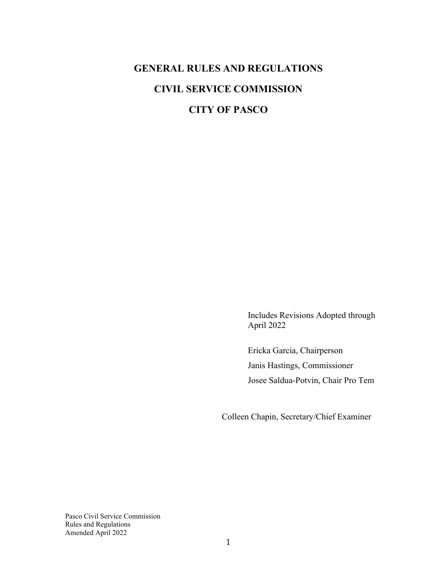# **GENERAL RULES AND REGULATIONS CIVIL SERVICE COMMISSION CITY OF PASCO**

Includes Revisions Adopted through April 2022

Ericka Garcia, Chairperson Janis Hastings, Commissioner Josee Saldua-Potvin, Chair Pro Tem

Colleen Chapin, Secretary/Chief Examiner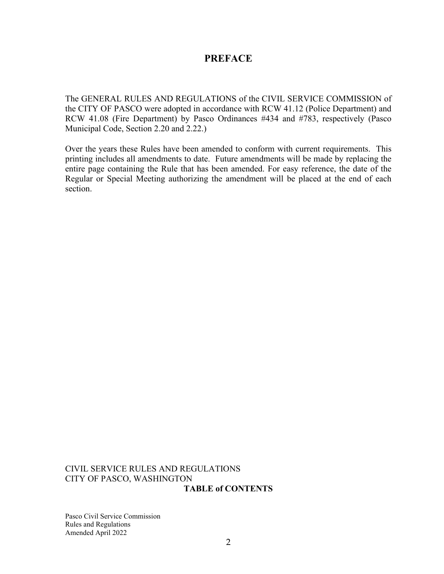## **PREFACE**

The GENERAL RULES AND REGULATIONS of the CIVIL SERVICE COMMISSION of the CITY OF PASCO were adopted in accordance with RCW 41.12 (Police Department) and RCW 41.08 (Fire Department) by Pasco Ordinances #434 and #783, respectively (Pasco Municipal Code, Section 2.20 and 2.22.)

Over the years these Rules have been amended to conform with current requirements. This printing includes all amendments to date. Future amendments will be made by replacing the entire page containing the Rule that has been amended. For easy reference, the date of the Regular or Special Meeting authorizing the amendment will be placed at the end of each section.

#### CIVIL SERVICE RULES AND REGULATIONS CITY OF PASCO, WASHINGTON **TABLE of CONTENTS**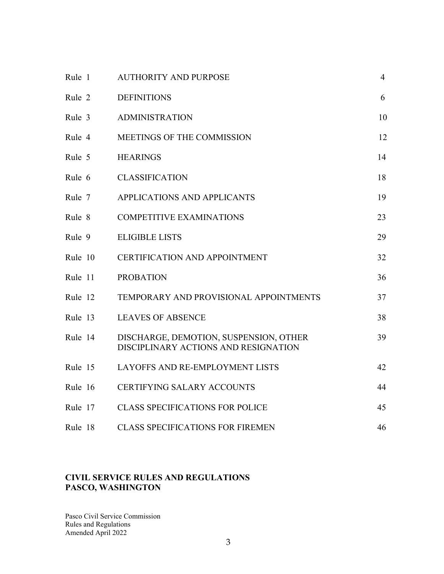| Rule 1  | <b>AUTHORITY AND PURPOSE</b>                                                   | $\overline{4}$ |
|---------|--------------------------------------------------------------------------------|----------------|
| Rule 2  | <b>DEFINITIONS</b>                                                             | 6              |
| Rule 3  | <b>ADMINISTRATION</b>                                                          | 10             |
| Rule 4  | MEETINGS OF THE COMMISSION                                                     | 12             |
| Rule 5  | <b>HEARINGS</b>                                                                | 14             |
| Rule 6  | <b>CLASSIFICATION</b>                                                          | 18             |
| Rule 7  | APPLICATIONS AND APPLICANTS                                                    | 19             |
| Rule 8  | <b>COMPETITIVE EXAMINATIONS</b>                                                | 23             |
| Rule 9  | <b>ELIGIBLE LISTS</b>                                                          | 29             |
| Rule 10 | <b>CERTIFICATION AND APPOINTMENT</b>                                           | 32             |
| Rule 11 | <b>PROBATION</b>                                                               | 36             |
| Rule 12 | TEMPORARY AND PROVISIONAL APPOINTMENTS                                         | 37             |
| Rule 13 | <b>LEAVES OF ABSENCE</b>                                                       | 38             |
| Rule 14 | DISCHARGE, DEMOTION, SUSPENSION, OTHER<br>DISCIPLINARY ACTIONS AND RESIGNATION | 39             |
| Rule 15 | <b>LAYOFFS AND RE-EMPLOYMENT LISTS</b>                                         | 42             |
| Rule 16 | <b>CERTIFYING SALARY ACCOUNTS</b>                                              | 44             |
| Rule 17 | <b>CLASS SPECIFICATIONS FOR POLICE</b>                                         | 45             |
| Rule 18 | <b>CLASS SPECIFICATIONS FOR FIREMEN</b>                                        | 46             |

## **CIVIL SERVICE RULES AND REGULATIONS PASCO, WASHINGTON**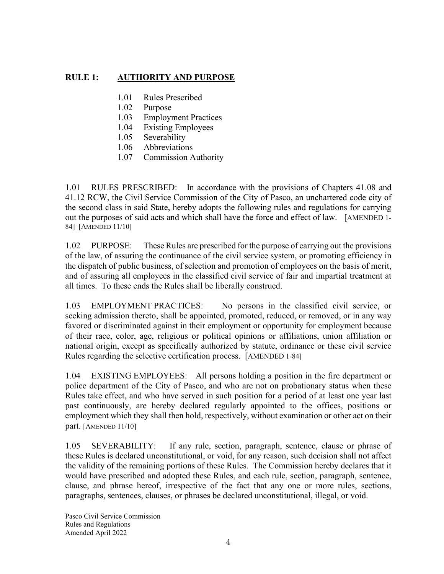## **RULE 1: AUTHORITY AND PURPOSE**

- 1.01 Rules Prescribed
- 1.02 Purpose
- 1.03 Employment Practices
- 1.04 Existing Employees
- 1.05 Severability
- 1.06 Abbreviations
- 1.07 Commission Authority

1.01 RULES PRESCRIBED: In accordance with the provisions of Chapters 41.08 and 41.12 RCW, the Civil Service Commission of the City of Pasco, an unchartered code city of the second class in said State, hereby adopts the following rules and regulations for carrying out the purposes of said acts and which shall have the force and effect of law. [AMENDED 1- 84] [AMENDED 11/10]

1.02 PURPOSE: These Rules are prescribed for the purpose of carrying out the provisions of the law, of assuring the continuance of the civil service system, or promoting efficiency in the dispatch of public business, of selection and promotion of employees on the basis of merit, and of assuring all employees in the classified civil service of fair and impartial treatment at all times. To these ends the Rules shall be liberally construed.

1.03 EMPLOYMENT PRACTICES: No persons in the classified civil service, or seeking admission thereto, shall be appointed, promoted, reduced, or removed, or in any way favored or discriminated against in their employment or opportunity for employment because of their race, color, age, religious or political opinions or affiliations, union affiliation or national origin, except as specifically authorized by statute, ordinance or these civil service Rules regarding the selective certification process. [AMENDED 1-84]

1.04 EXISTING EMPLOYEES: All persons holding a position in the fire department or police department of the City of Pasco, and who are not on probationary status when these Rules take effect, and who have served in such position for a period of at least one year last past continuously, are hereby declared regularly appointed to the offices, positions or employment which they shall then hold, respectively, without examination or other act on their part. [AMENDED 11/10]

1.05 SEVERABILITY: If any rule, section, paragraph, sentence, clause or phrase of these Rules is declared unconstitutional, or void, for any reason, such decision shall not affect the validity of the remaining portions of these Rules. The Commission hereby declares that it would have prescribed and adopted these Rules, and each rule, section, paragraph, sentence, clause, and phrase hereof, irrespective of the fact that any one or more rules, sections, paragraphs, sentences, clauses, or phrases be declared unconstitutional, illegal, or void.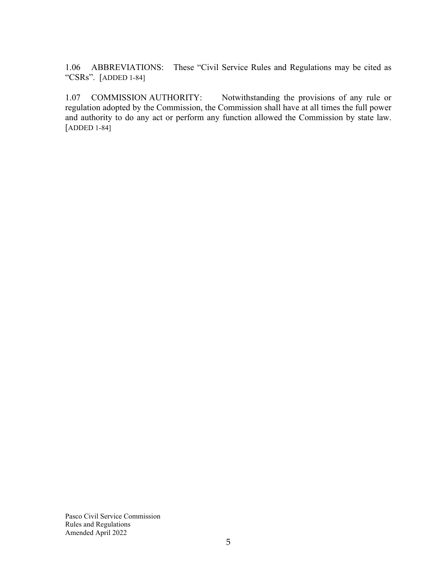1.06 ABBREVIATIONS: These "Civil Service Rules and Regulations may be cited as "CSRs". [ADDED 1-84]

1.07 COMMISSION AUTHORITY: Notwithstanding the provisions of any rule or regulation adopted by the Commission, the Commission shall have at all times the full power and authority to do any act or perform any function allowed the Commission by state law. [ADDED 1-84]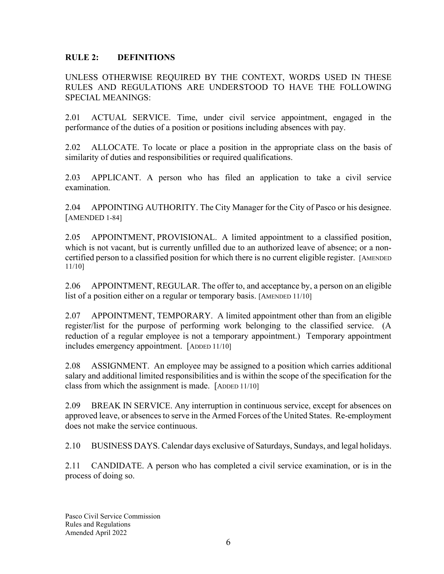## **RULE 2: DEFINITIONS**

UNLESS OTHERWISE REQUIRED BY THE CONTEXT, WORDS USED IN THESE RULES AND REGULATIONS ARE UNDERSTOOD TO HAVE THE FOLLOWING SPECIAL MEANINGS:

2.01 ACTUAL SERVICE. Time, under civil service appointment, engaged in the performance of the duties of a position or positions including absences with pay.

2.02 ALLOCATE. To locate or place a position in the appropriate class on the basis of similarity of duties and responsibilities or required qualifications.

2.03 APPLICANT. A person who has filed an application to take a civil service examination.

2.04 APPOINTING AUTHORITY. The City Manager for the City of Pasco or his designee. [AMENDED 1-84]

2.05 APPOINTMENT, PROVISIONAL. A limited appointment to a classified position, which is not vacant, but is currently unfilled due to an authorized leave of absence; or a noncertified person to a classified position for which there is no current eligible register. [AMENDED 11/10]

2.06 APPOINTMENT, REGULAR. The offer to, and acceptance by, a person on an eligible list of a position either on a regular or temporary basis. [AMENDED 11/10]

2.07 APPOINTMENT, TEMPORARY. A limited appointment other than from an eligible register/list for the purpose of performing work belonging to the classified service. (A reduction of a regular employee is not a temporary appointment.) Temporary appointment includes emergency appointment. [ADDED 11/10]

2.08 ASSIGNMENT. An employee may be assigned to a position which carries additional salary and additional limited responsibilities and is within the scope of the specification for the class from which the assignment is made. [ADDED 11/10]

2.09 BREAK IN SERVICE. Any interruption in continuous service, except for absences on approved leave, or absences to serve in the Armed Forces of the United States. Re-employment does not make the service continuous.

2.10 BUSINESS DAYS. Calendar days exclusive of Saturdays, Sundays, and legal holidays.

2.11 CANDIDATE. A person who has completed a civil service examination, or is in the process of doing so.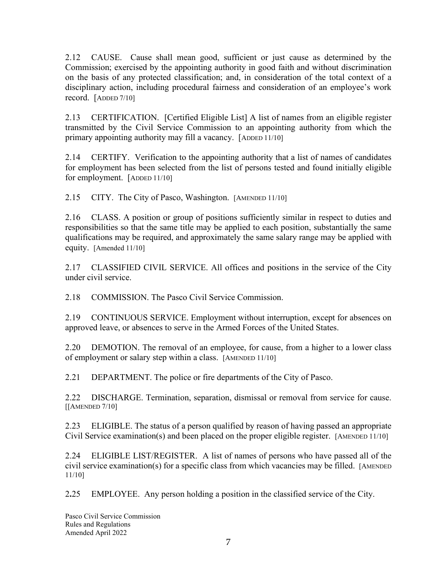2.12 CAUSE. Cause shall mean good, sufficient or just cause as determined by the Commission; exercised by the appointing authority in good faith and without discrimination on the basis of any protected classification; and, in consideration of the total context of a disciplinary action, including procedural fairness and consideration of an employee's work record. [ADDED 7/10]

2.13 CERTIFICATION. [Certified Eligible List] A list of names from an eligible register transmitted by the Civil Service Commission to an appointing authority from which the primary appointing authority may fill a vacancy. [ADDED 11/10]

2.14 CERTIFY. Verification to the appointing authority that a list of names of candidates for employment has been selected from the list of persons tested and found initially eligible for employment. [ADDED 11/10]

2.15 CITY. The City of Pasco, Washington. [AMENDED 11/10]

2.16 CLASS. A position or group of positions sufficiently similar in respect to duties and responsibilities so that the same title may be applied to each position, substantially the same qualifications may be required, and approximately the same salary range may be applied with equity. [Amended 11/10]

2.17 CLASSIFIED CIVIL SERVICE. All offices and positions in the service of the City under civil service.

2.18 COMMISSION. The Pasco Civil Service Commission.

2.19 CONTINUOUS SERVICE. Employment without interruption, except for absences on approved leave, or absences to serve in the Armed Forces of the United States.

2.20 DEMOTION. The removal of an employee, for cause, from a higher to a lower class of employment or salary step within a class. [AMENDED 11/10]

2.21 DEPARTMENT. The police or fire departments of the City of Pasco.

2.22 DISCHARGE. Termination, separation, dismissal or removal from service for cause. [[AMENDED 7/10]

2.23 ELIGIBLE. The status of a person qualified by reason of having passed an appropriate Civil Service examination(s) and been placed on the proper eligible register. [AMENDED 11/10]

2.24 ELIGIBLE LIST/REGISTER. A list of names of persons who have passed all of the civil service examination(s) for a specific class from which vacancies may be filled. [AMENDED 11/10]

2**.**25 EMPLOYEE. Any person holding a position in the classified service of the City.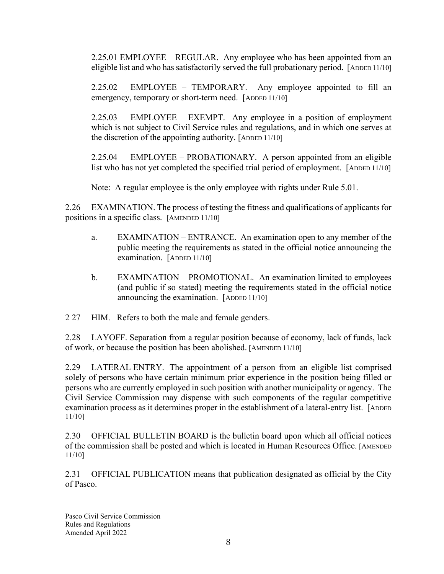2.25.01 EMPLOYEE – REGULAR. Any employee who has been appointed from an eligible list and who has satisfactorily served the full probationary period. [ADDED 11/10]

2.25.02 EMPLOYEE – TEMPORARY. Any employee appointed to fill an emergency, temporary or short-term need. [ADDED 11/10]

2.25.03 EMPLOYEE – EXEMPT. Any employee in a position of employment which is not subject to Civil Service rules and regulations, and in which one serves at the discretion of the appointing authority. [ADDED 11/10]

2.25.04 EMPLOYEE – PROBATIONARY. A person appointed from an eligible list who has not yet completed the specified trial period of employment. [ADDED 11/10]

Note: A regular employee is the only employee with rights under Rule 5.01.

2.26 EXAMINATION. The process of testing the fitness and qualifications of applicants for positions in a specific class. [AMENDED 11/10]

- a. EXAMINATION ENTRANCE. An examination open to any member of the public meeting the requirements as stated in the official notice announcing the examination. [ADDED 11/10]
- b. EXAMINATION PROMOTIONAL. An examination limited to employees (and public if so stated) meeting the requirements stated in the official notice announcing the examination. [ADDED 11/10]
- 2 27 HIM. Refers to both the male and female genders.

2.28 LAYOFF. Separation from a regular position because of economy, lack of funds, lack of work, or because the position has been abolished. [AMENDED 11/10]

2.29 LATERAL ENTRY. The appointment of a person from an eligible list comprised solely of persons who have certain minimum prior experience in the position being filled or persons who are currently employed in such position with another municipality or agency. The Civil Service Commission may dispense with such components of the regular competitive examination process as it determines proper in the establishment of a lateral-entry list. [ADDED] 11/10]

2.30 OFFICIAL BULLETIN BOARD is the bulletin board upon which all official notices of the commission shall be posted and which is located in Human Resources Office. [AMENDED 11/10]

2.31 OFFICIAL PUBLICATION means that publication designated as official by the City of Pasco.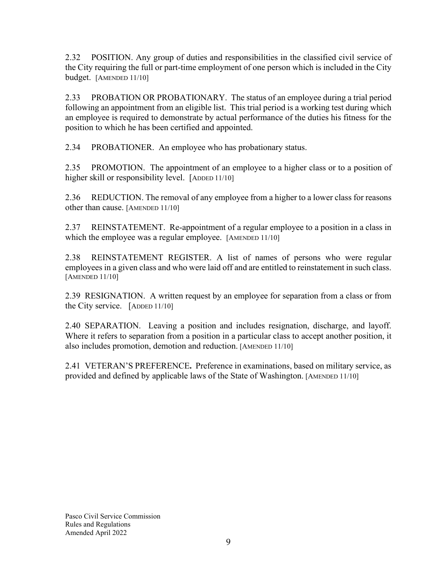2.32 POSITION. Any group of duties and responsibilities in the classified civil service of the City requiring the full or part-time employment of one person which is included in the City budget. [AMENDED 11/10]

2.33 PROBATION OR PROBATIONARY. The status of an employee during a trial period following an appointment from an eligible list. This trial period is a working test during which an employee is required to demonstrate by actual performance of the duties his fitness for the position to which he has been certified and appointed.

2.34 PROBATIONER. An employee who has probationary status.

2.35 PROMOTION. The appointment of an employee to a higher class or to a position of higher skill or responsibility level. [ADDED 11/10]

2.36 REDUCTION. The removal of any employee from a higher to a lower class for reasons other than cause. [AMENDED 11/10]

2.37 REINSTATEMENT. Re-appointment of a regular employee to a position in a class in which the employee was a regular employee. [AMENDED 11/10]

2.38 REINSTATEMENT REGISTER. A list of names of persons who were regular employees in a given class and who were laid off and are entitled to reinstatement in such class. [AMENDED 11/10]

2.39 RESIGNATION. A written request by an employee for separation from a class or from the City service. [ADDED 11/10]

2.40 SEPARATION. Leaving a position and includes resignation, discharge, and layoff. Where it refers to separation from a position in a particular class to accept another position, it also includes promotion, demotion and reduction. [AMENDED 11/10]

2.41 VETERAN'S PREFERENCE**.** Preference in examinations, based on military service, as provided and defined by applicable laws of the State of Washington. [AMENDED 11/10]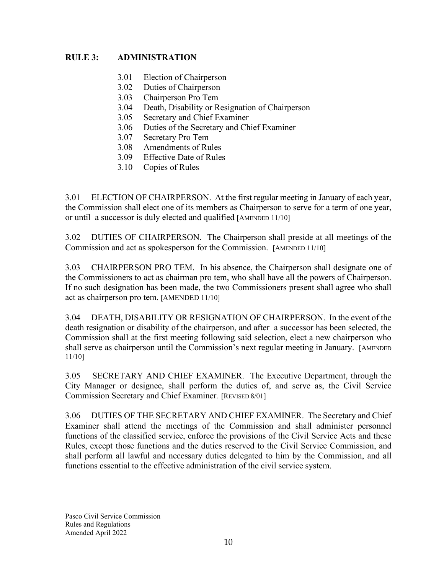## **RULE 3: ADMINISTRATION**

- 3.01 Election of Chairperson
- 3.02 Duties of Chairperson
- 3.03 Chairperson Pro Tem
- 3.04 Death, Disability or Resignation of Chairperson
- 3.05 Secretary and Chief Examiner
- 3.06 Duties of the Secretary and Chief Examiner
- 3.07 Secretary Pro Tem
- 3.08 Amendments of Rules
- 3.09 Effective Date of Rules
- 3.10 Copies of Rules

3.01 ELECTION OF CHAIRPERSON. At the first regular meeting in January of each year, the Commission shall elect one of its members as Chairperson to serve for a term of one year, or until a successor is duly elected and qualified [AMENDED 11/10]

3.02 DUTIES OF CHAIRPERSON. The Chairperson shall preside at all meetings of the Commission and act as spokesperson for the Commission. [AMENDED 11/10]

3.03 CHAIRPERSON PRO TEM. In his absence, the Chairperson shall designate one of the Commissioners to act as chairman pro tem, who shall have all the powers of Chairperson. If no such designation has been made, the two Commissioners present shall agree who shall act as chairperson pro tem. [AMENDED 11/10]

3.04 DEATH, DISABILITY OR RESIGNATION OF CHAIRPERSON. In the event of the death resignation or disability of the chairperson, and after a successor has been selected, the Commission shall at the first meeting following said selection, elect a new chairperson who shall serve as chairperson until the Commission's next regular meeting in January. [AMENDED 11/10]

3.05 SECRETARY AND CHIEF EXAMINER. The Executive Department, through the City Manager or designee, shall perform the duties of, and serve as, the Civil Service Commission Secretary and Chief Examiner. [REVISED 8/01]

3.06 DUTIES OF THE SECRETARY AND CHIEF EXAMINER. The Secretary and Chief Examiner shall attend the meetings of the Commission and shall administer personnel functions of the classified service, enforce the provisions of the Civil Service Acts and these Rules, except those functions and the duties reserved to the Civil Service Commission, and shall perform all lawful and necessary duties delegated to him by the Commission, and all functions essential to the effective administration of the civil service system.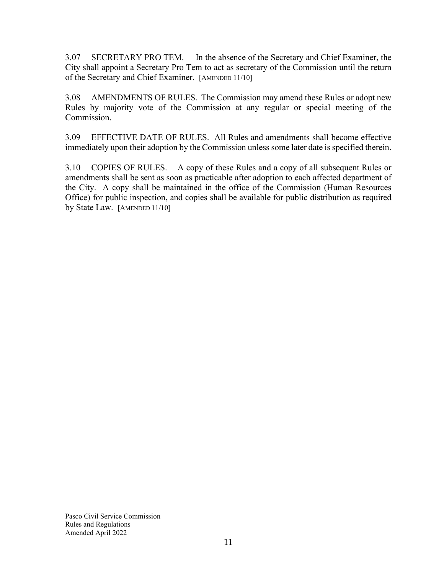3.07 SECRETARY PRO TEM. In the absence of the Secretary and Chief Examiner, the City shall appoint a Secretary Pro Tem to act as secretary of the Commission until the return of the Secretary and Chief Examiner. [AMENDED 11/10]

3.08 AMENDMENTS OF RULES. The Commission may amend these Rules or adopt new Rules by majority vote of the Commission at any regular or special meeting of the Commission.

3.09 EFFECTIVE DATE OF RULES. All Rules and amendments shall become effective immediately upon their adoption by the Commission unless some later date is specified therein.

3.10 COPIES OF RULES. A copy of these Rules and a copy of all subsequent Rules or amendments shall be sent as soon as practicable after adoption to each affected department of the City. A copy shall be maintained in the office of the Commission (Human Resources Office) for public inspection, and copies shall be available for public distribution as required by State Law. [AMENDED 11/10]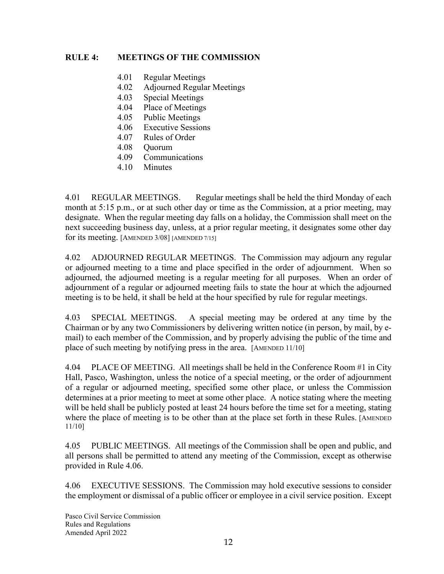## **RULE 4: MEETINGS OF THE COMMISSION**

- 4.01 Regular Meetings
- 4.02 Adjourned Regular Meetings
- 4.03 Special Meetings
- 4.04 Place of Meetings
- 4.05 Public Meetings
- 4.06 Executive Sessions
- 4.07 Rules of Order
- 4.08 Quorum
- 4.09 Communications
- 4.10 Minutes

4.01 REGULAR MEETINGS. Regular meetings shall be held the third Monday of each month at 5:15 p.m., or at such other day or time as the Commission, at a prior meeting, may designate. When the regular meeting day falls on a holiday, the Commission shall meet on the next succeeding business day, unless, at a prior regular meeting, it designates some other day for its meeting. [AMENDED 3/08] [AMENDED 7/15]

4.02 ADJOURNED REGULAR MEETINGS. The Commission may adjourn any regular or adjourned meeting to a time and place specified in the order of adjournment. When so adjourned, the adjourned meeting is a regular meeting for all purposes. When an order of adjournment of a regular or adjourned meeting fails to state the hour at which the adjourned meeting is to be held, it shall be held at the hour specified by rule for regular meetings.

4.03 SPECIAL MEETINGS. A special meeting may be ordered at any time by the Chairman or by any two Commissioners by delivering written notice (in person, by mail, by email) to each member of the Commission, and by properly advising the public of the time and place of such meeting by notifying press in the area. [AMENDED 11/10]

4.04 PLACE OF MEETING. All meetings shall be held in the Conference Room #1 in City Hall, Pasco, Washington, unless the notice of a special meeting, or the order of adjournment of a regular or adjourned meeting, specified some other place, or unless the Commission determines at a prior meeting to meet at some other place. A notice stating where the meeting will be held shall be publicly posted at least 24 hours before the time set for a meeting, stating where the place of meeting is to be other than at the place set forth in these Rules. [AMENDED 11/10]

4.05 PUBLIC MEETINGS. All meetings of the Commission shall be open and public, and all persons shall be permitted to attend any meeting of the Commission, except as otherwise provided in Rule 4.06.

4.06 EXECUTIVE SESSIONS. The Commission may hold executive sessions to consider the employment or dismissal of a public officer or employee in a civil service position. Except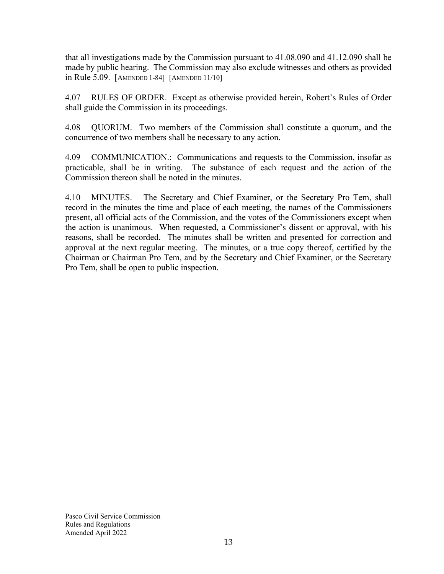that all investigations made by the Commission pursuant to 41.08.090 and 41.12.090 shall be made by public hearing. The Commission may also exclude witnesses and others as provided in Rule 5.09. [AMENDED 1-84] [AMENDED 11/10]

4.07 RULES OF ORDER. Except as otherwise provided herein, Robert's Rules of Order shall guide the Commission in its proceedings.

4.08 QUORUM. Two members of the Commission shall constitute a quorum, and the concurrence of two members shall be necessary to any action.

4.09 COMMUNICATION.: Communications and requests to the Commission, insofar as practicable, shall be in writing. The substance of each request and the action of the Commission thereon shall be noted in the minutes.

4.10 MINUTES. The Secretary and Chief Examiner, or the Secretary Pro Tem, shall record in the minutes the time and place of each meeting, the names of the Commissioners present, all official acts of the Commission, and the votes of the Commissioners except when the action is unanimous. When requested, a Commissioner's dissent or approval, with his reasons, shall be recorded. The minutes shall be written and presented for correction and approval at the next regular meeting. The minutes, or a true copy thereof, certified by the Chairman or Chairman Pro Tem, and by the Secretary and Chief Examiner, or the Secretary Pro Tem, shall be open to public inspection.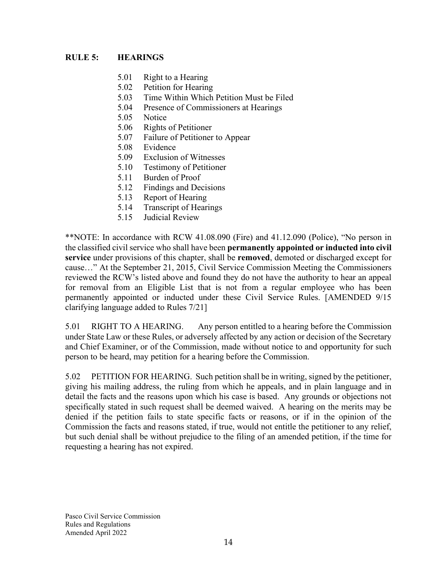## **RULE 5: HEARINGS**

- 5.01 Right to a Hearing
- 5.02 Petition for Hearing
- 5.03 Time Within Which Petition Must be Filed
- 5.04 Presence of Commissioners at Hearings
- 5.05 Notice
- 5.06 Rights of Petitioner
- 5.07 Failure of Petitioner to Appear
- 5.08 Evidence
- 5.09 Exclusion of Witnesses
- 5.10 Testimony of Petitioner
- 5.11 Burden of Proof
- 5.12 Findings and Decisions
- 5.13 Report of Hearing
- 5.14 Transcript of Hearings
- 5.15 Judicial Review

\*\*NOTE: In accordance with RCW 41.08.090 (Fire) and 41.12.090 (Police), "No person in the classified civil service who shall have been **permanently appointed or inducted into civil service** under provisions of this chapter, shall be **removed**, demoted or discharged except for cause…" At the September 21, 2015, Civil Service Commission Meeting the Commissioners reviewed the RCW's listed above and found they do not have the authority to hear an appeal for removal from an Eligible List that is not from a regular employee who has been permanently appointed or inducted under these Civil Service Rules. [AMENDED 9/15 clarifying language added to Rules 7/21]

5.01 RIGHT TO A HEARING. Any person entitled to a hearing before the Commission under State Law or these Rules, or adversely affected by any action or decision of the Secretary and Chief Examiner, or of the Commission, made without notice to and opportunity for such person to be heard, may petition for a hearing before the Commission.

5.02 PETITION FOR HEARING. Such petition shall be in writing, signed by the petitioner, giving his mailing address, the ruling from which he appeals, and in plain language and in detail the facts and the reasons upon which his case is based. Any grounds or objections not specifically stated in such request shall be deemed waived. A hearing on the merits may be denied if the petition fails to state specific facts or reasons, or if in the opinion of the Commission the facts and reasons stated, if true, would not entitle the petitioner to any relief, but such denial shall be without prejudice to the filing of an amended petition, if the time for requesting a hearing has not expired.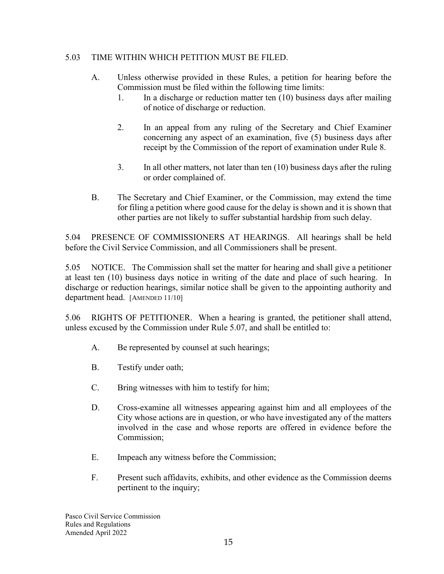## 5.03 TIME WITHIN WHICH PETITION MUST BE FILED.

- A. Unless otherwise provided in these Rules, a petition for hearing before the Commission must be filed within the following time limits:
	- 1. In a discharge or reduction matter ten (10) business days after mailing of notice of discharge or reduction.
	- 2. In an appeal from any ruling of the Secretary and Chief Examiner concerning any aspect of an examination, five (5) business days after receipt by the Commission of the report of examination under Rule 8.
	- 3. In all other matters, not later than ten (10) business days after the ruling or order complained of.
- B. The Secretary and Chief Examiner, or the Commission, may extend the time for filing a petition where good cause for the delay is shown and it is shown that other parties are not likely to suffer substantial hardship from such delay.

5.04 PRESENCE OF COMMISSIONERS AT HEARINGS. All hearings shall be held before the Civil Service Commission, and all Commissioners shall be present.

5.05 NOTICE. The Commission shall set the matter for hearing and shall give a petitioner at least ten (10) business days notice in writing of the date and place of such hearing. In discharge or reduction hearings, similar notice shall be given to the appointing authority and department head. [AMENDED 11/10]

5.06 RIGHTS OF PETITIONER. When a hearing is granted, the petitioner shall attend, unless excused by the Commission under Rule 5.07, and shall be entitled to:

- A. Be represented by counsel at such hearings;
- B. Testify under oath;
- C. Bring witnesses with him to testify for him;
- D. Cross-examine all witnesses appearing against him and all employees of the City whose actions are in question, or who have investigated any of the matters involved in the case and whose reports are offered in evidence before the Commission;
- E. Impeach any witness before the Commission;
- F. Present such affidavits, exhibits, and other evidence as the Commission deems pertinent to the inquiry;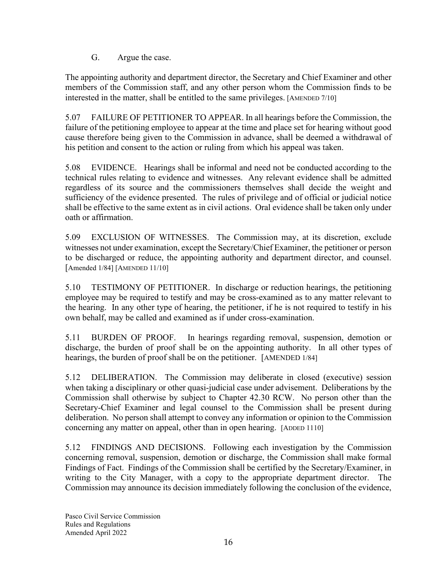G. Argue the case.

The appointing authority and department director, the Secretary and Chief Examiner and other members of the Commission staff, and any other person whom the Commission finds to be interested in the matter, shall be entitled to the same privileges. [AMENDED 7/10]

5.07 FAILURE OF PETITIONER TO APPEAR. In all hearings before the Commission, the failure of the petitioning employee to appear at the time and place set for hearing without good cause therefore being given to the Commission in advance, shall be deemed a withdrawal of his petition and consent to the action or ruling from which his appeal was taken.

5.08 EVIDENCE. Hearings shall be informal and need not be conducted according to the technical rules relating to evidence and witnesses. Any relevant evidence shall be admitted regardless of its source and the commissioners themselves shall decide the weight and sufficiency of the evidence presented. The rules of privilege and of official or judicial notice shall be effective to the same extent as in civil actions. Oral evidence shall be taken only under oath or affirmation.

5.09 EXCLUSION OF WITNESSES. The Commission may, at its discretion, exclude witnesses not under examination, except the Secretary/Chief Examiner, the petitioner or person to be discharged or reduce, the appointing authority and department director, and counsel. [Amended 1/84] [AMENDED 11/10]

5.10 TESTIMONY OF PETITIONER. In discharge or reduction hearings, the petitioning employee may be required to testify and may be cross-examined as to any matter relevant to the hearing. In any other type of hearing, the petitioner, if he is not required to testify in his own behalf, may be called and examined as if under cross-examination.

5.11 BURDEN OF PROOF. In hearings regarding removal, suspension, demotion or discharge, the burden of proof shall be on the appointing authority. In all other types of hearings, the burden of proof shall be on the petitioner. [AMENDED 1/84]

5.12 DELIBERATION. The Commission may deliberate in closed (executive) session when taking a disciplinary or other quasi-judicial case under advisement. Deliberations by the Commission shall otherwise by subject to Chapter 42.30 RCW. No person other than the Secretary-Chief Examiner and legal counsel to the Commission shall be present during deliberation. No person shall attempt to convey any information or opinion to the Commission concerning any matter on appeal, other than in open hearing. [ADDED 1110]

5.12 FINDINGS AND DECISIONS. Following each investigation by the Commission concerning removal, suspension, demotion or discharge, the Commission shall make formal Findings of Fact. Findings of the Commission shall be certified by the Secretary/Examiner, in writing to the City Manager, with a copy to the appropriate department director. The Commission may announce its decision immediately following the conclusion of the evidence,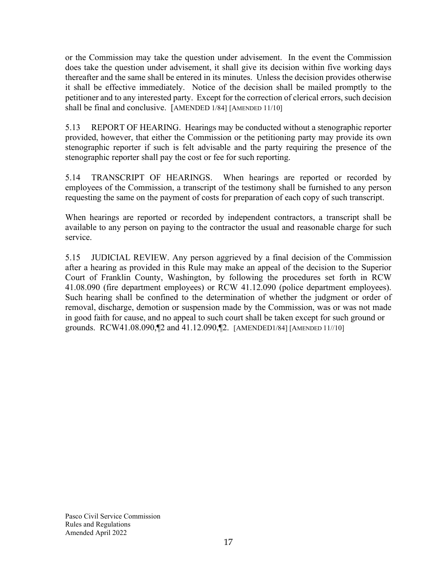or the Commission may take the question under advisement. In the event the Commission does take the question under advisement, it shall give its decision within five working days thereafter and the same shall be entered in its minutes. Unless the decision provides otherwise it shall be effective immediately. Notice of the decision shall be mailed promptly to the petitioner and to any interested party. Except for the correction of clerical errors, such decision shall be final and conclusive. [AMENDED 1/84] [AMENDED 11/10]

5.13 REPORT OF HEARING. Hearings may be conducted without a stenographic reporter provided, however, that either the Commission or the petitioning party may provide its own stenographic reporter if such is felt advisable and the party requiring the presence of the stenographic reporter shall pay the cost or fee for such reporting.

5.14 TRANSCRIPT OF HEARINGS. When hearings are reported or recorded by employees of the Commission, a transcript of the testimony shall be furnished to any person requesting the same on the payment of costs for preparation of each copy of such transcript.

When hearings are reported or recorded by independent contractors, a transcript shall be available to any person on paying to the contractor the usual and reasonable charge for such service.

5.15 JUDICIAL REVIEW. Any person aggrieved by a final decision of the Commission after a hearing as provided in this Rule may make an appeal of the decision to the Superior Court of Franklin County, Washington, by following the procedures set forth in RCW 41.08.090 (fire department employees) or RCW 41.12.090 (police department employees). Such hearing shall be confined to the determination of whether the judgment or order of removal, discharge, demotion or suspension made by the Commission, was or was not made in good faith for cause, and no appeal to such court shall be taken except for such ground or grounds. RCW41.08.090,¶2 and 41.12.090,¶2. [AMENDED1/84] [AMENDED 11//10]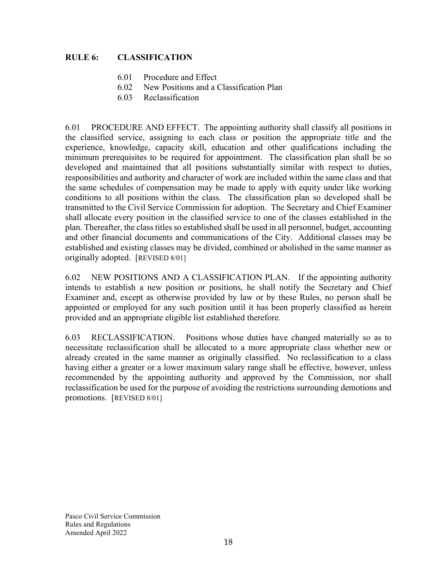## **RULE 6: CLASSIFICATION**

- 6.01 Procedure and Effect
- 6.02 New Positions and a Classification Plan
- 6.03 Reclassification

6.01 PROCEDURE AND EFFECT. The appointing authority shall classify all positions in the classified service, assigning to each class or position the appropriate title and the experience, knowledge, capacity skill, education and other qualifications including the minimum prerequisites to be required for appointment. The classification plan shall be so developed and maintained that all positions substantially similar with respect to duties, responsibilities and authority and character of work are included within the same class and that the same schedules of compensation may be made to apply with equity under like working conditions to all positions within the class. The classification plan so developed shall be transmitted to the Civil Service Commission for adoption. The Secretary and Chief Examiner shall allocate every position in the classified service to one of the classes established in the plan. Thereafter, the class titles so established shall be used in all personnel, budget, accounting and other financial documents and communications of the City. Additional classes may be established and existing classes may be divided, combined or abolished in the same manner as originally adopted. [REVISED 8/01]

6.02 NEW POSITIONS AND A CLASSIFICATION PLAN. If the appointing authority intends to establish a new position or positions, he shall notify the Secretary and Chief Examiner and, except as otherwise provided by law or by these Rules, no person shall be appointed or employed for any such position until it has been properly classified as herein provided and an appropriate eligible list established therefore.

6.03 RECLASSIFICATION. Positions whose duties have changed materially so as to necessitate reclassification shall be allocated to a more appropriate class whether new or already created in the same manner as originally classified. No reclassification to a class having either a greater or a lower maximum salary range shall be effective, however, unless recommended by the appointing authority and approved by the Commission, nor shall reclassification be used for the purpose of avoiding the restrictions surrounding demotions and promotions. [REVISED 8/01]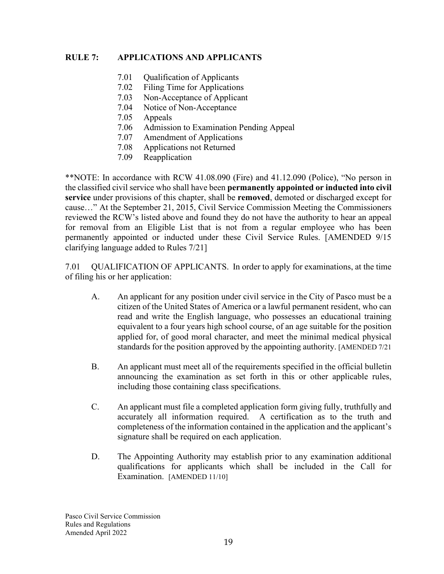### **RULE 7: APPLICATIONS AND APPLICANTS**

- 7.01 Qualification of Applicants
- 7.02 Filing Time for Applications
- 7.03 Non-Acceptance of Applicant
- 7.04 Notice of Non-Acceptance
- 7.05 Appeals
- 7.06 Admission to Examination Pending Appeal
- 7.07 Amendment of Applications
- 7.08 Applications not Returned
- 7.09 Reapplication

\*\*NOTE: In accordance with RCW 41.08.090 (Fire) and 41.12.090 (Police), "No person in the classified civil service who shall have been **permanently appointed or inducted into civil service** under provisions of this chapter, shall be **removed**, demoted or discharged except for cause…" At the September 21, 2015, Civil Service Commission Meeting the Commissioners reviewed the RCW's listed above and found they do not have the authority to hear an appeal for removal from an Eligible List that is not from a regular employee who has been permanently appointed or inducted under these Civil Service Rules. [AMENDED 9/15 clarifying language added to Rules 7/21]

7.01 QUALIFICATION OF APPLICANTS. In order to apply for examinations, at the time of filing his or her application:

- A. An applicant for any position under civil service in the City of Pasco must be a citizen of the United States of America or a lawful permanent resident, who can read and write the English language, who possesses an educational training equivalent to a four years high school course, of an age suitable for the position applied for, of good moral character, and meet the minimal medical physical standards for the position approved by the appointing authority. [AMENDED 7/21
- B. An applicant must meet all of the requirements specified in the official bulletin announcing the examination as set forth in this or other applicable rules, including those containing class specifications.
- C. An applicant must file a completed application form giving fully, truthfully and accurately all information required. A certification as to the truth and completeness of the information contained in the application and the applicant's signature shall be required on each application.
- D. The Appointing Authority may establish prior to any examination additional qualifications for applicants which shall be included in the Call for Examination. [AMENDED 11/10]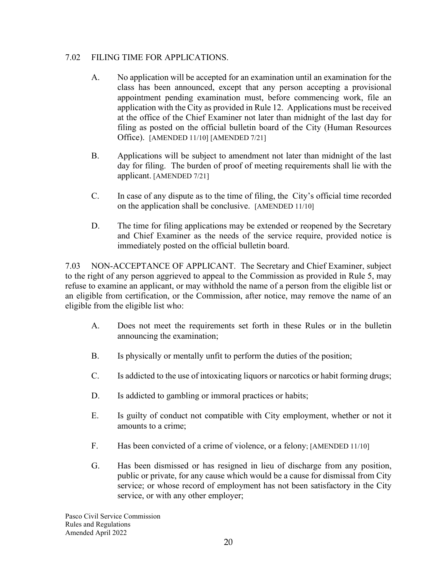#### 7.02 FILING TIME FOR APPLICATIONS.

- A. No application will be accepted for an examination until an examination for the class has been announced, except that any person accepting a provisional appointment pending examination must, before commencing work, file an application with the City as provided in Rule 12. Applications must be received at the office of the Chief Examiner not later than midnight of the last day for filing as posted on the official bulletin board of the City (Human Resources Office). [AMENDED 11/10] [AMENDED 7/21]
- B. Applications will be subject to amendment not later than midnight of the last day for filing. The burden of proof of meeting requirements shall lie with the applicant. [AMENDED 7/21]
- C. In case of any dispute as to the time of filing, the City's official time recorded on the application shall be conclusive. [AMENDED 11/10]
- D. The time for filing applications may be extended or reopened by the Secretary and Chief Examiner as the needs of the service require, provided notice is immediately posted on the official bulletin board.

7.03 NON-ACCEPTANCE OF APPLICANT. The Secretary and Chief Examiner, subject to the right of any person aggrieved to appeal to the Commission as provided in Rule 5, may refuse to examine an applicant, or may withhold the name of a person from the eligible list or an eligible from certification, or the Commission, after notice, may remove the name of an eligible from the eligible list who:

- A. Does not meet the requirements set forth in these Rules or in the bulletin announcing the examination;
- B. Is physically or mentally unfit to perform the duties of the position;
- C. Is addicted to the use of intoxicating liquors or narcotics or habit forming drugs;
- D. Is addicted to gambling or immoral practices or habits;
- E. Is guilty of conduct not compatible with City employment, whether or not it amounts to a crime;
- F. Has been convicted of a crime of violence, or a felony; [AMENDED 11/10]
- G. Has been dismissed or has resigned in lieu of discharge from any position, public or private, for any cause which would be a cause for dismissal from City service; or whose record of employment has not been satisfactory in the City service, or with any other employer;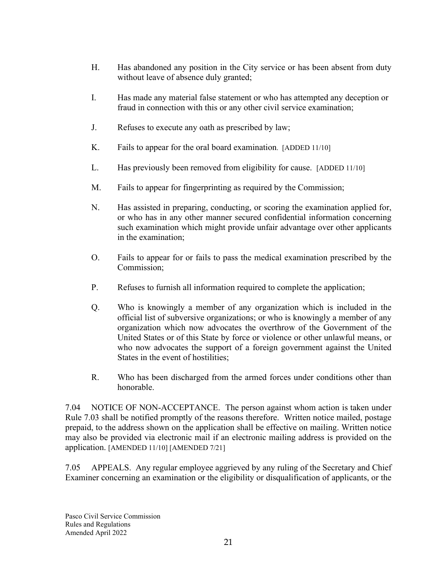- H. Has abandoned any position in the City service or has been absent from duty without leave of absence duly granted;
- I. Has made any material false statement or who has attempted any deception or fraud in connection with this or any other civil service examination;
- J. Refuses to execute any oath as prescribed by law;
- K. Fails to appear for the oral board examination. [ADDED 11/10]
- L. Has previously been removed from eligibility for cause.[ADDED 11/10]
- M. Fails to appear for fingerprinting as required by the Commission;
- N. Has assisted in preparing, conducting, or scoring the examination applied for, or who has in any other manner secured confidential information concerning such examination which might provide unfair advantage over other applicants in the examination;
- O. Fails to appear for or fails to pass the medical examination prescribed by the Commission;
- P. Refuses to furnish all information required to complete the application;
- Q. Who is knowingly a member of any organization which is included in the official list of subversive organizations; or who is knowingly a member of any organization which now advocates the overthrow of the Government of the United States or of this State by force or violence or other unlawful means, or who now advocates the support of a foreign government against the United States in the event of hostilities;
- R. Who has been discharged from the armed forces under conditions other than honorable.

7.04 NOTICE OF NON-ACCEPTANCE. The person against whom action is taken under Rule 7.03 shall be notified promptly of the reasons therefore. Written notice mailed, postage prepaid, to the address shown on the application shall be effective on mailing. Written notice may also be provided via electronic mail if an electronic mailing address is provided on the application. [AMENDED 11/10] [AMENDED 7/21]

7.05 APPEALS. Any regular employee aggrieved by any ruling of the Secretary and Chief Examiner concerning an examination or the eligibility or disqualification of applicants, or the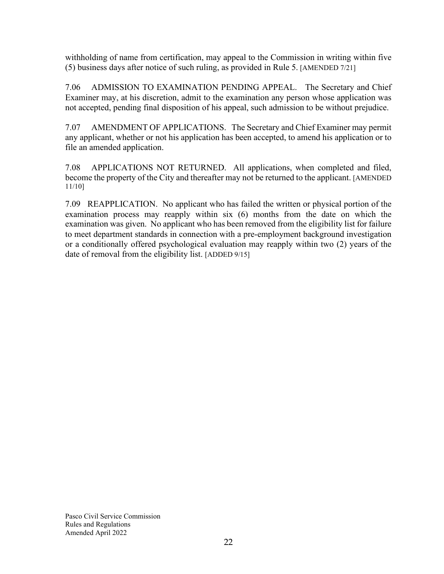withholding of name from certification, may appeal to the Commission in writing within five (5) business days after notice of such ruling, as provided in Rule 5. [AMENDED 7/21]

7.06 ADMISSION TO EXAMINATION PENDING APPEAL. The Secretary and Chief Examiner may, at his discretion, admit to the examination any person whose application was not accepted, pending final disposition of his appeal, such admission to be without prejudice.

7.07 AMENDMENT OF APPLICATIONS. The Secretary and Chief Examiner may permit any applicant, whether or not his application has been accepted, to amend his application or to file an amended application.

7.08 APPLICATIONS NOT RETURNED. All applications, when completed and filed, become the property of the City and thereafter may not be returned to the applicant. [AMENDED 11/10]

7.09 REAPPLICATION. No applicant who has failed the written or physical portion of the examination process may reapply within six (6) months from the date on which the examination was given. No applicant who has been removed from the eligibility list for failure to meet department standards in connection with a pre-employment background investigation or a conditionally offered psychological evaluation may reapply within two (2) years of the date of removal from the eligibility list. [ADDED 9/15]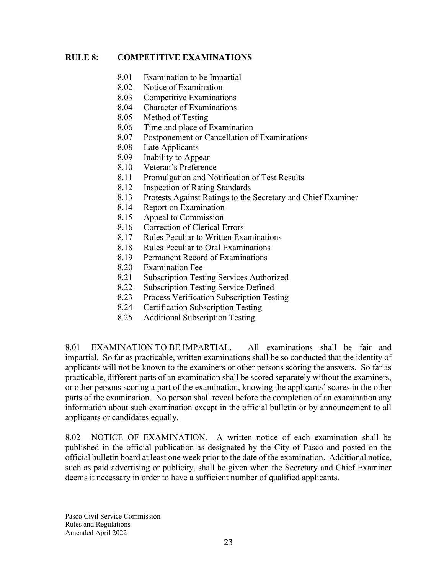#### **RULE 8: COMPETITIVE EXAMINATIONS**

- 8.01 Examination to be Impartial
- 8.02 Notice of Examination
- 8.03 Competitive Examinations
- 8.04 Character of Examinations
- 8.05 Method of Testing
- 8.06 Time and place of Examination
- 8.07 Postponement or Cancellation of Examinations
- 8.08 Late Applicants
- 8.09 Inability to Appear
- 8.10 Veteran's Preference
- 8.11 Promulgation and Notification of Test Results
- 8.12 Inspection of Rating Standards
- 8.13 Protests Against Ratings to the Secretary and Chief Examiner
- 8.14 Report on Examination
- 8.15 Appeal to Commission
- 8.16 Correction of Clerical Errors
- 8.17 Rules Peculiar to Written Examinations
- 8.18 Rules Peculiar to Oral Examinations
- 8.19 Permanent Record of Examinations
- 8.20 Examination Fee
- 8.21 Subscription Testing Services Authorized
- 8.22 Subscription Testing Service Defined
- 8.23 Process Verification Subscription Testing
- 8.24 Certification Subscription Testing
- 8.25 Additional Subscription Testing

8.01 EXAMINATION TO BE IMPARTIAL. All examinations shall be fair and impartial. So far as practicable, written examinations shall be so conducted that the identity of applicants will not be known to the examiners or other persons scoring the answers. So far as practicable, different parts of an examination shall be scored separately without the examiners, or other persons scoring a part of the examination, knowing the applicants' scores in the other parts of the examination. No person shall reveal before the completion of an examination any information about such examination except in the official bulletin or by announcement to all applicants or candidates equally.

8.02 NOTICE OF EXAMINATION. A written notice of each examination shall be published in the official publication as designated by the City of Pasco and posted on the official bulletin board at least one week prior to the date of the examination. Additional notice, such as paid advertising or publicity, shall be given when the Secretary and Chief Examiner deems it necessary in order to have a sufficient number of qualified applicants.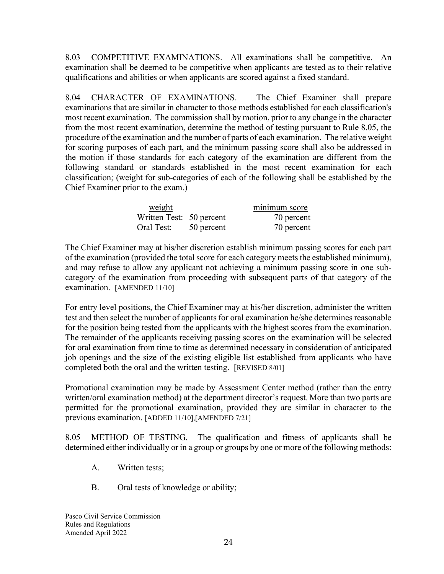8.03 COMPETITIVE EXAMINATIONS. All examinations shall be competitive. An examination shall be deemed to be competitive when applicants are tested as to their relative qualifications and abilities or when applicants are scored against a fixed standard.

8.04 CHARACTER OF EXAMINATIONS. The Chief Examiner shall prepare examinations that are similar in character to those methods established for each classification's most recent examination. The commission shall by motion, prior to any change in the character from the most recent examination, determine the method of testing pursuant to Rule 8.05, the procedure of the examination and the number of parts of each examination. The relative weight for scoring purposes of each part, and the minimum passing score shall also be addressed in the motion if those standards for each category of the examination are different from the following standard or standards established in the most recent examination for each classification; (weight for sub-categories of each of the following shall be established by the Chief Examiner prior to the exam.)

| weight                   |            | minimum score |
|--------------------------|------------|---------------|
| Written Test: 50 percent |            | 70 percent    |
| Oral Test:               | 50 percent | 70 percent    |

The Chief Examiner may at his/her discretion establish minimum passing scores for each part of the examination (provided the total score for each category meets the established minimum), and may refuse to allow any applicant not achieving a minimum passing score in one subcategory of the examination from proceeding with subsequent parts of that category of the examination. [AMENDED 11/10]

For entry level positions, the Chief Examiner may at his/her discretion, administer the written test and then select the number of applicants for oral examination he/she determines reasonable for the position being tested from the applicants with the highest scores from the examination. The remainder of the applicants receiving passing scores on the examination will be selected for oral examination from time to time as determined necessary in consideration of anticipated job openings and the size of the existing eligible list established from applicants who have completed both the oral and the written testing. [REVISED 8/01]

Promotional examination may be made by Assessment Center method (rather than the entry written/oral examination method) at the department director's request. More than two parts are permitted for the promotional examination, provided they are similar in character to the previous examination. [ADDED 11/10],[AMENDED 7/21]

8.05 METHOD OF TESTING. The qualification and fitness of applicants shall be determined either individually or in a group or groups by one or more of the following methods:

- A. Written tests;
- B. Oral tests of knowledge or ability;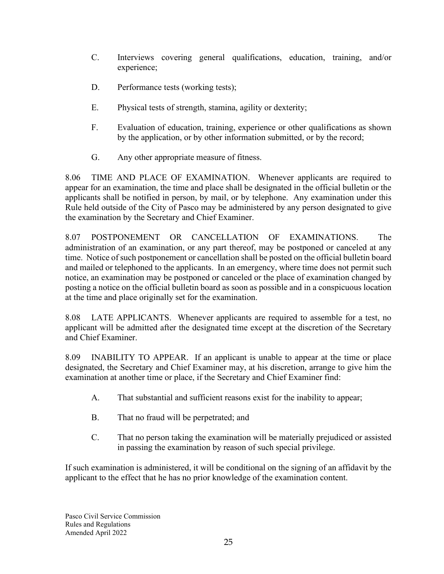- C. Interviews covering general qualifications, education, training, and/or experience;
- D. Performance tests (working tests);
- E. Physical tests of strength, stamina, agility or dexterity;
- F. Evaluation of education, training, experience or other qualifications as shown by the application, or by other information submitted, or by the record;
- G. Any other appropriate measure of fitness.

8.06 TIME AND PLACE OF EXAMINATION. Whenever applicants are required to appear for an examination, the time and place shall be designated in the official bulletin or the applicants shall be notified in person, by mail, or by telephone. Any examination under this Rule held outside of the City of Pasco may be administered by any person designated to give the examination by the Secretary and Chief Examiner.

8.07 POSTPONEMENT OR CANCELLATION OF EXAMINATIONS. The administration of an examination, or any part thereof, may be postponed or canceled at any time. Notice of such postponement or cancellation shall be posted on the official bulletin board and mailed or telephoned to the applicants. In an emergency, where time does not permit such notice, an examination may be postponed or canceled or the place of examination changed by posting a notice on the official bulletin board as soon as possible and in a conspicuous location at the time and place originally set for the examination.

8.08 LATE APPLICANTS. Whenever applicants are required to assemble for a test, no applicant will be admitted after the designated time except at the discretion of the Secretary and Chief Examiner.

8.09 INABILITY TO APPEAR. If an applicant is unable to appear at the time or place designated, the Secretary and Chief Examiner may, at his discretion, arrange to give him the examination at another time or place, if the Secretary and Chief Examiner find:

- A. That substantial and sufficient reasons exist for the inability to appear;
- B. That no fraud will be perpetrated; and
- C. That no person taking the examination will be materially prejudiced or assisted in passing the examination by reason of such special privilege.

If such examination is administered, it will be conditional on the signing of an affidavit by the applicant to the effect that he has no prior knowledge of the examination content.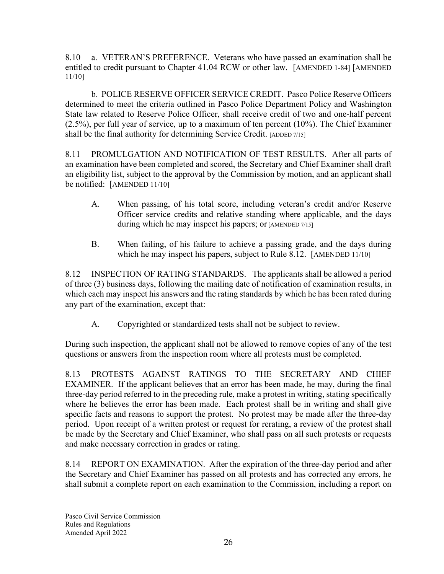8.10 a. VETERAN'S PREFERENCE. Veterans who have passed an examination shall be entitled to credit pursuant to Chapter 41.04 RCW or other law. [AMENDED 1-84] [AMENDED 11/10]

b. POLICE RESERVE OFFICER SERVICE CREDIT. Pasco Police Reserve Officers determined to meet the criteria outlined in Pasco Police Department Policy and Washington State law related to Reserve Police Officer, shall receive credit of two and one-half percent (2.5%), per full year of service, up to a maximum of ten percent (10%). The Chief Examiner shall be the final authority for determining Service Credit. [ADDED 7/15]

8.11 PROMULGATION AND NOTIFICATION OF TEST RESULTS. After all parts of an examination have been completed and scored, the Secretary and Chief Examiner shall draft an eligibility list, subject to the approval by the Commission by motion, and an applicant shall be notified: [AMENDED 11/10]

- A. When passing, of his total score, including veteran's credit and/or Reserve Officer service credits and relative standing where applicable, and the days during which he may inspect his papers; or [AMENDED 7/15]
- B. When failing, of his failure to achieve a passing grade, and the days during which he may inspect his papers, subject to Rule 8.12. [AMENDED 11/10]

8.12 INSPECTION OF RATING STANDARDS. The applicants shall be allowed a period of three (3) business days, following the mailing date of notification of examination results, in which each may inspect his answers and the rating standards by which he has been rated during any part of the examination, except that:

A. Copyrighted or standardized tests shall not be subject to review.

During such inspection, the applicant shall not be allowed to remove copies of any of the test questions or answers from the inspection room where all protests must be completed.

8.13 PROTESTS AGAINST RATINGS TO THE SECRETARY AND CHIEF EXAMINER. If the applicant believes that an error has been made, he may, during the final three-day period referred to in the preceding rule, make a protest in writing, stating specifically where he believes the error has been made. Each protest shall be in writing and shall give specific facts and reasons to support the protest. No protest may be made after the three-day period. Upon receipt of a written protest or request for rerating, a review of the protest shall be made by the Secretary and Chief Examiner, who shall pass on all such protests or requests and make necessary correction in grades or rating.

8.14 REPORT ON EXAMINATION. After the expiration of the three-day period and after the Secretary and Chief Examiner has passed on all protests and has corrected any errors, he shall submit a complete report on each examination to the Commission, including a report on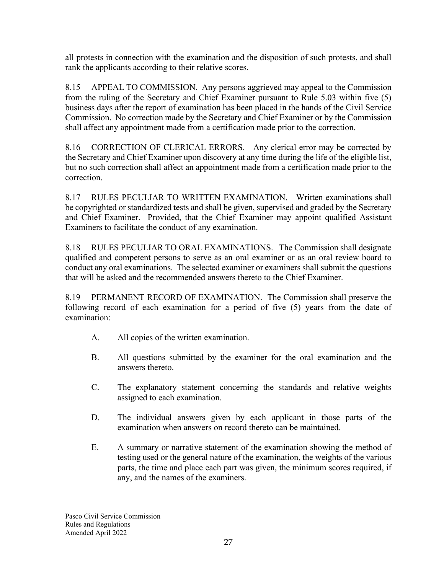all protests in connection with the examination and the disposition of such protests, and shall rank the applicants according to their relative scores.

8.15 APPEAL TO COMMISSION. Any persons aggrieved may appeal to the Commission from the ruling of the Secretary and Chief Examiner pursuant to Rule 5.03 within five (5) business days after the report of examination has been placed in the hands of the Civil Service Commission. No correction made by the Secretary and Chief Examiner or by the Commission shall affect any appointment made from a certification made prior to the correction.

8.16 CORRECTION OF CLERICAL ERRORS. Any clerical error may be corrected by the Secretary and Chief Examiner upon discovery at any time during the life of the eligible list, but no such correction shall affect an appointment made from a certification made prior to the correction.

8.17 RULES PECULIAR TO WRITTEN EXAMINATION. Written examinations shall be copyrighted or standardized tests and shall be given, supervised and graded by the Secretary and Chief Examiner. Provided, that the Chief Examiner may appoint qualified Assistant Examiners to facilitate the conduct of any examination.

8.18 RULES PECULIAR TO ORAL EXAMINATIONS. The Commission shall designate qualified and competent persons to serve as an oral examiner or as an oral review board to conduct any oral examinations. The selected examiner or examiners shall submit the questions that will be asked and the recommended answers thereto to the Chief Examiner.

8.19 PERMANENT RECORD OF EXAMINATION. The Commission shall preserve the following record of each examination for a period of five (5) years from the date of examination:

- A. All copies of the written examination.
- B. All questions submitted by the examiner for the oral examination and the answers thereto.
- C. The explanatory statement concerning the standards and relative weights assigned to each examination.
- D. The individual answers given by each applicant in those parts of the examination when answers on record thereto can be maintained.
- E. A summary or narrative statement of the examination showing the method of testing used or the general nature of the examination, the weights of the various parts, the time and place each part was given, the minimum scores required, if any, and the names of the examiners.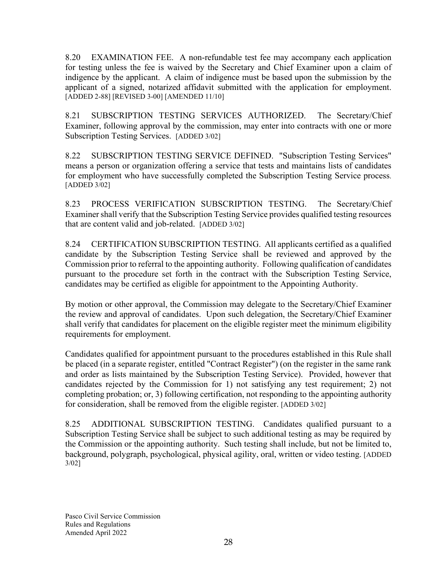8.20 EXAMINATION FEE. A non-refundable test fee may accompany each application for testing unless the fee is waived by the Secretary and Chief Examiner upon a claim of indigence by the applicant. A claim of indigence must be based upon the submission by the applicant of a signed, notarized affidavit submitted with the application for employment. [ADDED 2-88] [REVISED 3-00] [AMENDED 11/10]

8.21 SUBSCRIPTION TESTING SERVICES AUTHORIZED. The Secretary/Chief Examiner, following approval by the commission, may enter into contracts with one or more Subscription Testing Services. [ADDED 3/02]

8.22 SUBSCRIPTION TESTING SERVICE DEFINED. "Subscription Testing Services" means a person or organization offering a service that tests and maintains lists of candidates for employment who have successfully completed the Subscription Testing Service process. [ADDED 3/02]

8.23 PROCESS VERIFICATION SUBSCRIPTION TESTING. The Secretary/Chief Examiner shall verify that the Subscription Testing Service provides qualified testing resources that are content valid and job-related. [ADDED 3/02]

8.24 CERTIFICATION SUBSCRIPTION TESTING. All applicants certified as a qualified candidate by the Subscription Testing Service shall be reviewed and approved by the Commission prior to referral to the appointing authority. Following qualification of candidates pursuant to the procedure set forth in the contract with the Subscription Testing Service, candidates may be certified as eligible for appointment to the Appointing Authority.

By motion or other approval, the Commission may delegate to the Secretary/Chief Examiner the review and approval of candidates. Upon such delegation, the Secretary/Chief Examiner shall verify that candidates for placement on the eligible register meet the minimum eligibility requirements for employment.

Candidates qualified for appointment pursuant to the procedures established in this Rule shall be placed (in a separate register, entitled "Contract Register") (on the register in the same rank and order as lists maintained by the Subscription Testing Service). Provided, however that candidates rejected by the Commission for 1) not satisfying any test requirement; 2) not completing probation; or, 3) following certification, not responding to the appointing authority for consideration, shall be removed from the eligible register. [ADDED 3/02]

8.25 ADDITIONAL SUBSCRIPTION TESTING. Candidates qualified pursuant to a Subscription Testing Service shall be subject to such additional testing as may be required by the Commission or the appointing authority. Such testing shall include, but not be limited to, background, polygraph, psychological, physical agility, oral, written or video testing. [ADDED 3/02]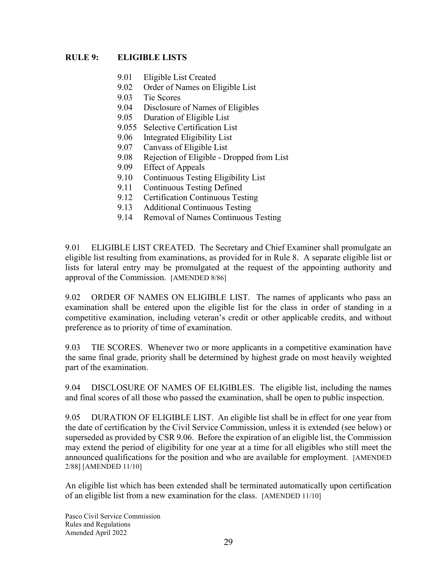## **RULE 9: ELIGIBLE LISTS**

- 9.01 Eligible List Created
- 9.02 Order of Names on Eligible List
- 9.03 Tie Scores
- 9.04 Disclosure of Names of Eligibles
- 9.05 Duration of Eligible List
- 9.055 Selective Certification List
- 9.06 Integrated Eligibility List
- 9.07 Canvass of Eligible List
- 9.08 Rejection of Eligible Dropped from List
- 9.09 Effect of Appeals
- 9.10 Continuous Testing Eligibility List
- 9.11 Continuous Testing Defined
- 9.12 Certification Continuous Testing
- 9.13 Additional Continuous Testing
- 9.14 Removal of Names Continuous Testing

9.01 ELIGIBLE LIST CREATED. The Secretary and Chief Examiner shall promulgate an eligible list resulting from examinations, as provided for in Rule 8. A separate eligible list or lists for lateral entry may be promulgated at the request of the appointing authority and approval of the Commission. [AMENDED 8/86]

9.02 ORDER OF NAMES ON ELIGIBLE LIST. The names of applicants who pass an examination shall be entered upon the eligible list for the class in order of standing in a competitive examination, including veteran's credit or other applicable credits, and without preference as to priority of time of examination.

9.03 TIE SCORES. Whenever two or more applicants in a competitive examination have the same final grade, priority shall be determined by highest grade on most heavily weighted part of the examination.

9.04 DISCLOSURE OF NAMES OF ELIGIBLES. The eligible list, including the names and final scores of all those who passed the examination, shall be open to public inspection.

9.05 DURATION OF ELIGIBLE LIST. An eligible list shall be in effect for one year from the date of certification by the Civil Service Commission, unless it is extended (see below) or superseded as provided by CSR 9.06. Before the expiration of an eligible list, the Commission may extend the period of eligibility for one year at a time for all eligibles who still meet the announced qualifications for the position and who are available for employment. [AMENDED 2/88] [AMENDED 11/10]

An eligible list which has been extended shall be terminated automatically upon certification of an eligible list from a new examination for the class. [AMENDED 11/10]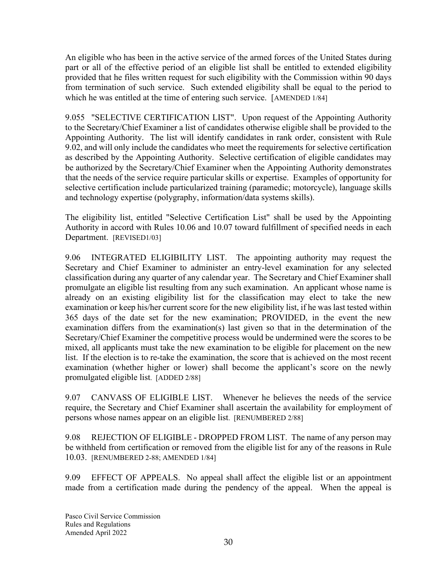An eligible who has been in the active service of the armed forces of the United States during part or all of the effective period of an eligible list shall be entitled to extended eligibility provided that he files written request for such eligibility with the Commission within 90 days from termination of such service. Such extended eligibility shall be equal to the period to which he was entitled at the time of entering such service. [AMENDED 1/84]

9.055 "SELECTIVE CERTIFICATION LIST". Upon request of the Appointing Authority to the Secretary/Chief Examiner a list of candidates otherwise eligible shall be provided to the Appointing Authority. The list will identify candidates in rank order, consistent with Rule 9.02, and will only include the candidates who meet the requirements for selective certification as described by the Appointing Authority. Selective certification of eligible candidates may be authorized by the Secretary/Chief Examiner when the Appointing Authority demonstrates that the needs of the service require particular skills or expertise. Examples of opportunity for selective certification include particularized training (paramedic; motorcycle), language skills and technology expertise (polygraphy, information/data systems skills).

The eligibility list, entitled "Selective Certification List" shall be used by the Appointing Authority in accord with Rules 10.06 and 10.07 toward fulfillment of specified needs in each Department. [REVISED1/03]

9.06 INTEGRATED ELIGIBILITY LIST. The appointing authority may request the Secretary and Chief Examiner to administer an entry-level examination for any selected classification during any quarter of any calendar year. The Secretary and Chief Examiner shall promulgate an eligible list resulting from any such examination. An applicant whose name is already on an existing eligibility list for the classification may elect to take the new examination or keep his/her current score for the new eligibility list, if he was last tested within 365 days of the date set for the new examination; PROVIDED, in the event the new examination differs from the examination(s) last given so that in the determination of the Secretary/Chief Examiner the competitive process would be undermined were the scores to be mixed, all applicants must take the new examination to be eligible for placement on the new list. If the election is to re-take the examination, the score that is achieved on the most recent examination (whether higher or lower) shall become the applicant's score on the newly promulgated eligible list. [ADDED 2/88]

9.07 CANVASS OF ELIGIBLE LIST. Whenever he believes the needs of the service require, the Secretary and Chief Examiner shall ascertain the availability for employment of persons whose names appear on an eligible list. [RENUMBERED 2/88]

9.08 REJECTION OF ELIGIBLE - DROPPED FROM LIST. The name of any person may be withheld from certification or removed from the eligible list for any of the reasons in Rule 10.03. [RENUMBERED 2-88; AMENDED 1/84]

9.09 EFFECT OF APPEALS. No appeal shall affect the eligible list or an appointment made from a certification made during the pendency of the appeal. When the appeal is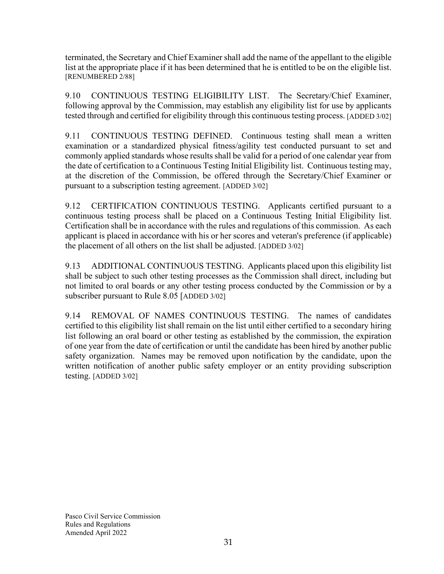terminated, the Secretary and Chief Examiner shall add the name of the appellant to the eligible list at the appropriate place if it has been determined that he is entitled to be on the eligible list. [RENUMBERED 2/88]

9.10 CONTINUOUS TESTING ELIGIBILITY LIST. The Secretary/Chief Examiner, following approval by the Commission, may establish any eligibility list for use by applicants tested through and certified for eligibility through this continuous testing process. [ADDED 3/02]

9.11 CONTINUOUS TESTING DEFINED. Continuous testing shall mean a written examination or a standardized physical fitness/agility test conducted pursuant to set and commonly applied standards whose results shall be valid for a period of one calendar year from the date of certification to a Continuous Testing Initial Eligibility list. Continuous testing may, at the discretion of the Commission, be offered through the Secretary/Chief Examiner or pursuant to a subscription testing agreement. [ADDED 3/02]

9.12 CERTIFICATION CONTINUOUS TESTING. Applicants certified pursuant to a continuous testing process shall be placed on a Continuous Testing Initial Eligibility list. Certification shall be in accordance with the rules and regulations of this commission. As each applicant is placed in accordance with his or her scores and veteran's preference (if applicable) the placement of all others on the list shall be adjusted. [ADDED 3/02]

9.13 ADDITIONAL CONTINUOUS TESTING. Applicants placed upon this eligibility list shall be subject to such other testing processes as the Commission shall direct, including but not limited to oral boards or any other testing process conducted by the Commission or by a subscriber pursuant to Rule 8.05 [ADDED 3/02]

9.14 REMOVAL OF NAMES CONTINUOUS TESTING. The names of candidates certified to this eligibility list shall remain on the list until either certified to a secondary hiring list following an oral board or other testing as established by the commission, the expiration of one year from the date of certification or until the candidate has been hired by another public safety organization. Names may be removed upon notification by the candidate, upon the written notification of another public safety employer or an entity providing subscription testing. [ADDED 3/02]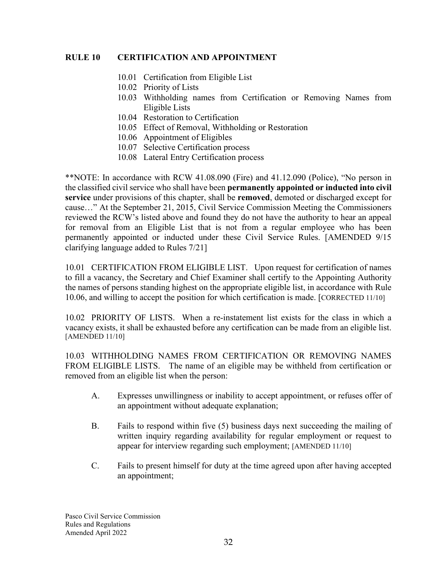#### **RULE 10 CERTIFICATION AND APPOINTMENT**

- 10.01 Certification from Eligible List
- 10.02 Priority of Lists
- 10.03 Withholding names from Certification or Removing Names from Eligible Lists
- 10.04 Restoration to Certification
- 10.05 Effect of Removal, Withholding or Restoration
- 10.06 Appointment of Eligibles
- 10.07 Selective Certification process
- 10.08 Lateral Entry Certification process

\*\*NOTE: In accordance with RCW 41.08.090 (Fire) and 41.12.090 (Police), "No person in the classified civil service who shall have been **permanently appointed or inducted into civil service** under provisions of this chapter, shall be **removed**, demoted or discharged except for cause…" At the September 21, 2015, Civil Service Commission Meeting the Commissioners reviewed the RCW's listed above and found they do not have the authority to hear an appeal for removal from an Eligible List that is not from a regular employee who has been permanently appointed or inducted under these Civil Service Rules. [AMENDED 9/15 clarifying language added to Rules 7/21]

10.01 CERTIFICATION FROM ELIGIBLE LIST. Upon request for certification of names to fill a vacancy, the Secretary and Chief Examiner shall certify to the Appointing Authority the names of persons standing highest on the appropriate eligible list, in accordance with Rule 10.06, and willing to accept the position for which certification is made. [CORRECTED 11/10]

10.02 PRIORITY OF LISTS. When a re-instatement list exists for the class in which a vacancy exists, it shall be exhausted before any certification can be made from an eligible list. [AMENDED 11/10]

10.03 WITHHOLDING NAMES FROM CERTIFICATION OR REMOVING NAMES FROM ELIGIBLE LISTS. The name of an eligible may be withheld from certification or removed from an eligible list when the person:

- A. Expresses unwillingness or inability to accept appointment, or refuses offer of an appointment without adequate explanation;
- B. Fails to respond within five (5) business days next succeeding the mailing of written inquiry regarding availability for regular employment or request to appear for interview regarding such employment; [AMENDED 11/10]
- C. Fails to present himself for duty at the time agreed upon after having accepted an appointment;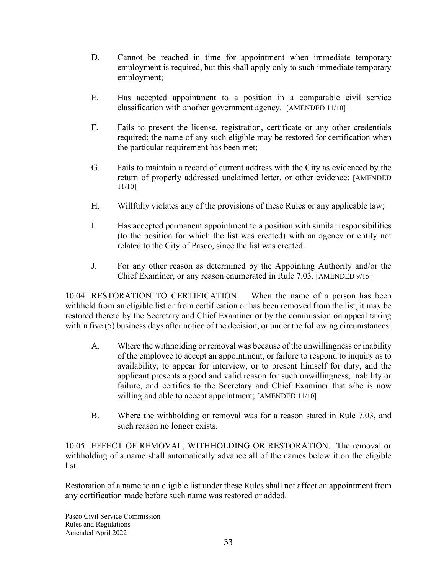- D. Cannot be reached in time for appointment when immediate temporary employment is required, but this shall apply only to such immediate temporary employment;
- E. Has accepted appointment to a position in a comparable civil service classification with another government agency. [AMENDED 11/10]
- F. Fails to present the license, registration, certificate or any other credentials required; the name of any such eligible may be restored for certification when the particular requirement has been met;
- G. Fails to maintain a record of current address with the City as evidenced by the return of properly addressed unclaimed letter, or other evidence; [AMENDED 11/10]
- H. Willfully violates any of the provisions of these Rules or any applicable law;
- I. Has accepted permanent appointment to a position with similar responsibilities (to the position for which the list was created) with an agency or entity not related to the City of Pasco, since the list was created.
- J. For any other reason as determined by the Appointing Authority and/or the Chief Examiner, or any reason enumerated in Rule 7.03. [AMENDED 9/15]

10.04 RESTORATION TO CERTIFICATION. When the name of a person has been withheld from an eligible list or from certification or has been removed from the list, it may be restored thereto by the Secretary and Chief Examiner or by the commission on appeal taking within five (5) business days after notice of the decision, or under the following circumstances:

- A. Where the withholding or removal was because of the unwillingness or inability of the employee to accept an appointment, or failure to respond to inquiry as to availability, to appear for interview, or to present himself for duty, and the applicant presents a good and valid reason for such unwillingness, inability or failure, and certifies to the Secretary and Chief Examiner that s/he is now willing and able to accept appointment; [AMENDED 11/10]
- B. Where the withholding or removal was for a reason stated in Rule 7.03, and such reason no longer exists.

10.05 EFFECT OF REMOVAL, WITHHOLDING OR RESTORATION. The removal or withholding of a name shall automatically advance all of the names below it on the eligible list.

Restoration of a name to an eligible list under these Rules shall not affect an appointment from any certification made before such name was restored or added.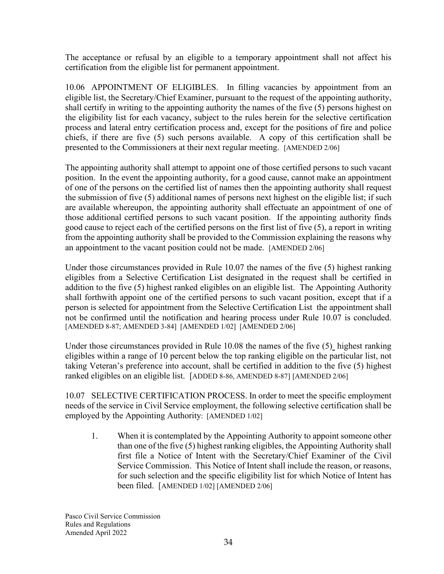The acceptance or refusal by an eligible to a temporary appointment shall not affect his certification from the eligible list for permanent appointment.

10.06 APPOINTMENT OF ELIGIBLES. In filling vacancies by appointment from an eligible list, the Secretary/Chief Examiner, pursuant to the request of the appointing authority, shall certify in writing to the appointing authority the names of the five (5) persons highest on the eligibility list for each vacancy, subject to the rules herein for the selective certification process and lateral entry certification process and, except for the positions of fire and police chiefs, if there are five (5) such persons available. A copy of this certification shall be presented to the Commissioners at their next regular meeting. [AMENDED 2/06]

The appointing authority shall attempt to appoint one of those certified persons to such vacant position. In the event the appointing authority, for a good cause, cannot make an appointment of one of the persons on the certified list of names then the appointing authority shall request the submission of five (5) additional names of persons next highest on the eligible list; if such are available whereupon, the appointing authority shall effectuate an appointment of one of those additional certified persons to such vacant position. If the appointing authority finds good cause to reject each of the certified persons on the first list of five (5), a report in writing from the appointing authority shall be provided to the Commission explaining the reasons why an appointment to the vacant position could not be made. [AMENDED 2/06]

Under those circumstances provided in Rule 10.07 the names of the five (5) highest ranking eligibles from a Selective Certification List designated in the request shall be certified in addition to the five (5) highest ranked eligibles on an eligible list. The Appointing Authority shall forthwith appoint one of the certified persons to such vacant position, except that if a person is selected for appointment from the Selective Certification List the appointment shall not be confirmed until the notification and hearing process under Rule 10.07 is concluded. [AMENDED 8-87; AMENDED 3-84] [AMENDED 1/02] [AMENDED 2/06]

Under those circumstances provided in Rule 10.08 the names of the five (5) highest ranking eligibles within a range of 10 percent below the top ranking eligible on the particular list, not taking Veteran's preference into account, shall be certified in addition to the five (5) highest ranked eligibles on an eligible list. [ADDED 8-86, AMENDED 8-87] [AMENDED 2/06]

10.07 SELECTIVE CERTIFICATION PROCESS. In order to meet the specific employment needs of the service in Civil Service employment, the following selective certification shall be employed by the Appointing Authority: [AMENDED 1/02]

1. When it is contemplated by the Appointing Authority to appoint someone other than one of the five (5) highest ranking eligibles, the Appointing Authority shall first file a Notice of Intent with the Secretary/Chief Examiner of the Civil Service Commission. This Notice of Intent shall include the reason, or reasons, for such selection and the specific eligibility list for which Notice of Intent has been filed. [AMENDED 1/02] [AMENDED 2/06]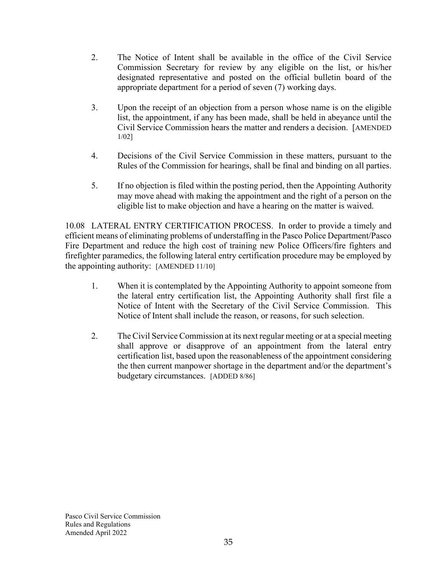- 2. The Notice of Intent shall be available in the office of the Civil Service Commission Secretary for review by any eligible on the list, or his/her designated representative and posted on the official bulletin board of the appropriate department for a period of seven (7) working days.
- 3. Upon the receipt of an objection from a person whose name is on the eligible list, the appointment, if any has been made, shall be held in abeyance until the Civil Service Commission hears the matter and renders a decision. [AMENDED 1/02]
- 4. Decisions of the Civil Service Commission in these matters, pursuant to the Rules of the Commission for hearings, shall be final and binding on all parties.
- 5. If no objection is filed within the posting period, then the Appointing Authority may move ahead with making the appointment and the right of a person on the eligible list to make objection and have a hearing on the matter is waived.

10.08 LATERAL ENTRY CERTIFICATION PROCESS. In order to provide a timely and efficient means of eliminating problems of understaffing in the Pasco Police Department/Pasco Fire Department and reduce the high cost of training new Police Officers/fire fighters and firefighter paramedics, the following lateral entry certification procedure may be employed by the appointing authority: [AMENDED 11/10]

- 1. When it is contemplated by the Appointing Authority to appoint someone from the lateral entry certification list, the Appointing Authority shall first file a Notice of Intent with the Secretary of the Civil Service Commission. This Notice of Intent shall include the reason, or reasons, for such selection.
- 2. The Civil Service Commission at its next regular meeting or at a special meeting shall approve or disapprove of an appointment from the lateral entry certification list, based upon the reasonableness of the appointment considering the then current manpower shortage in the department and/or the department's budgetary circumstances. [ADDED 8/86]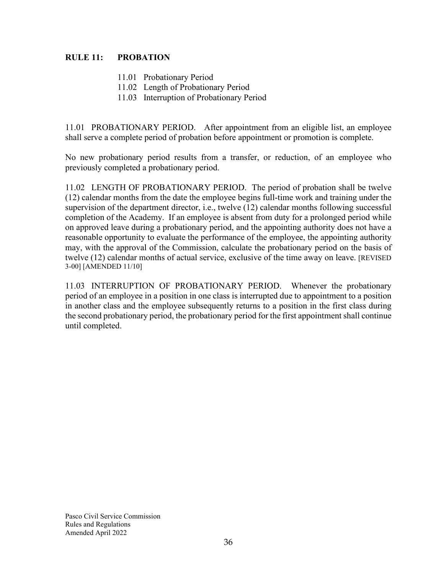### **RULE 11: PROBATION**

- 11.01 Probationary Period
- 11.02 Length of Probationary Period
- 11.03 Interruption of Probationary Period

11.01 PROBATIONARY PERIOD. After appointment from an eligible list, an employee shall serve a complete period of probation before appointment or promotion is complete.

No new probationary period results from a transfer, or reduction, of an employee who previously completed a probationary period.

11.02 LENGTH OF PROBATIONARY PERIOD. The period of probation shall be twelve (12) calendar months from the date the employee begins full-time work and training under the supervision of the department director, i.e., twelve (12) calendar months following successful completion of the Academy. If an employee is absent from duty for a prolonged period while on approved leave during a probationary period, and the appointing authority does not have a reasonable opportunity to evaluate the performance of the employee, the appointing authority may, with the approval of the Commission, calculate the probationary period on the basis of twelve (12) calendar months of actual service, exclusive of the time away on leave. [REVISED 3-00] [AMENDED 11/10]

11.03 INTERRUPTION OF PROBATIONARY PERIOD. Whenever the probationary period of an employee in a position in one class is interrupted due to appointment to a position in another class and the employee subsequently returns to a position in the first class during the second probationary period, the probationary period for the first appointment shall continue until completed.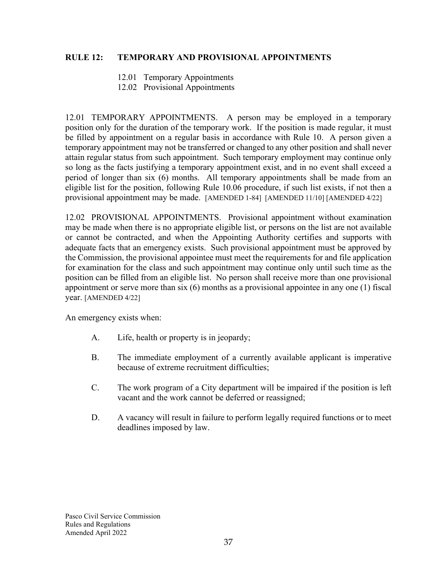#### **RULE 12: TEMPORARY AND PROVISIONAL APPOINTMENTS**

- 12.01 Temporary Appointments
- 12.02 Provisional Appointments

12.01 TEMPORARY APPOINTMENTS. A person may be employed in a temporary position only for the duration of the temporary work. If the position is made regular, it must be filled by appointment on a regular basis in accordance with Rule 10. A person given a temporary appointment may not be transferred or changed to any other position and shall never attain regular status from such appointment. Such temporary employment may continue only so long as the facts justifying a temporary appointment exist, and in no event shall exceed a period of longer than six (6) months. All temporary appointments shall be made from an eligible list for the position, following Rule 10.06 procedure, if such list exists, if not then a provisional appointment may be made. [AMENDED 1-84] [AMENDED 11/10] [AMENDED 4/22]

12.02 PROVISIONAL APPOINTMENTS. Provisional appointment without examination may be made when there is no appropriate eligible list, or persons on the list are not available or cannot be contracted, and when the Appointing Authority certifies and supports with adequate facts that an emergency exists. Such provisional appointment must be approved by the Commission, the provisional appointee must meet the requirements for and file application for examination for the class and such appointment may continue only until such time as the position can be filled from an eligible list. No person shall receive more than one provisional appointment or serve more than six (6) months as a provisional appointee in any one (1) fiscal year. [AMENDED 4/22]

An emergency exists when:

- A. Life, health or property is in jeopardy;
- B. The immediate employment of a currently available applicant is imperative because of extreme recruitment difficulties;
- C. The work program of a City department will be impaired if the position is left vacant and the work cannot be deferred or reassigned;
- D. A vacancy will result in failure to perform legally required functions or to meet deadlines imposed by law.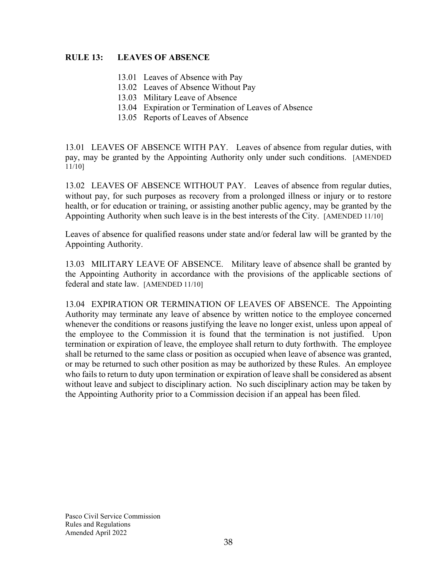#### **RULE 13: LEAVES OF ABSENCE**

- 13.01 Leaves of Absence with Pay
- 13.02 Leaves of Absence Without Pay
- 13.03 Military Leave of Absence
- 13.04 Expiration or Termination of Leaves of Absence
- 13.05 Reports of Leaves of Absence

13.01 LEAVES OF ABSENCE WITH PAY. Leaves of absence from regular duties, with pay, may be granted by the Appointing Authority only under such conditions. [AMENDED 11/10]

13.02 LEAVES OF ABSENCE WITHOUT PAY. Leaves of absence from regular duties, without pay, for such purposes as recovery from a prolonged illness or injury or to restore health, or for education or training, or assisting another public agency, may be granted by the Appointing Authority when such leave is in the best interests of the City. [AMENDED 11/10]

Leaves of absence for qualified reasons under state and/or federal law will be granted by the Appointing Authority.

13.03 MILITARY LEAVE OF ABSENCE. Military leave of absence shall be granted by the Appointing Authority in accordance with the provisions of the applicable sections of federal and state law. [AMENDED 11/10]

13.04 EXPIRATION OR TERMINATION OF LEAVES OF ABSENCE. The Appointing Authority may terminate any leave of absence by written notice to the employee concerned whenever the conditions or reasons justifying the leave no longer exist, unless upon appeal of the employee to the Commission it is found that the termination is not justified. Upon termination or expiration of leave, the employee shall return to duty forthwith. The employee shall be returned to the same class or position as occupied when leave of absence was granted, or may be returned to such other position as may be authorized by these Rules. An employee who fails to return to duty upon termination or expiration of leave shall be considered as absent without leave and subject to disciplinary action. No such disciplinary action may be taken by the Appointing Authority prior to a Commission decision if an appeal has been filed.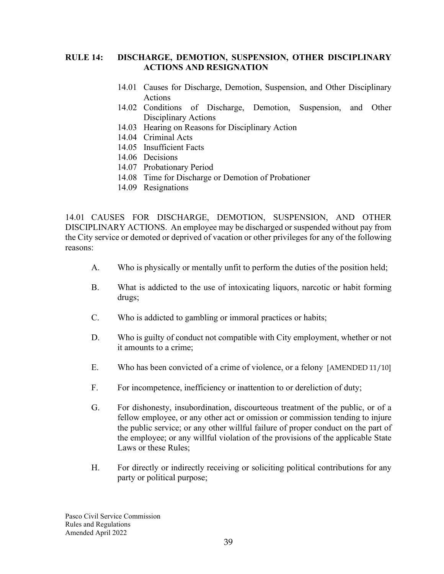#### **RULE 14: DISCHARGE, DEMOTION, SUSPENSION, OTHER DISCIPLINARY ACTIONS AND RESIGNATION**

- 14.01 Causes for Discharge, Demotion, Suspension, and Other Disciplinary Actions
- 14.02 Conditions of Discharge, Demotion, Suspension, and Other Disciplinary Actions
- 14.03 Hearing on Reasons for Disciplinary Action
- 14.04 Criminal Acts
- 14.05 Insufficient Facts
- 14.06 Decisions
- 14.07 Probationary Period
- 14.08 Time for Discharge or Demotion of Probationer
- 14.09 Resignations

14.01 CAUSES FOR DISCHARGE, DEMOTION, SUSPENSION, AND OTHER DISCIPLINARY ACTIONS. An employee may be discharged or suspended without pay from the City service or demoted or deprived of vacation or other privileges for any of the following reasons:

- A. Who is physically or mentally unfit to perform the duties of the position held;
- B. What is addicted to the use of intoxicating liquors, narcotic or habit forming drugs;
- C. Who is addicted to gambling or immoral practices or habits;
- D. Who is guilty of conduct not compatible with City employment, whether or not it amounts to a crime;
- E. Who has been convicted of a crime of violence, or a felony [AMENDED 11/10]
- F. For incompetence, inefficiency or inattention to or dereliction of duty;
- G. For dishonesty, insubordination, discourteous treatment of the public, or of a fellow employee, or any other act or omission or commission tending to injure the public service; or any other willful failure of proper conduct on the part of the employee; or any willful violation of the provisions of the applicable State Laws or these Rules;
- H. For directly or indirectly receiving or soliciting political contributions for any party or political purpose;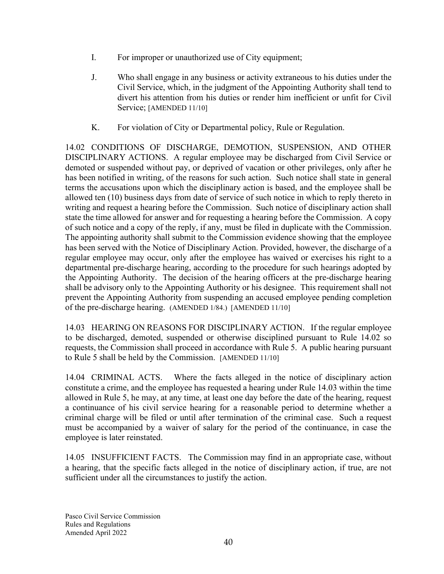- I. For improper or unauthorized use of City equipment;
- J. Who shall engage in any business or activity extraneous to his duties under the Civil Service, which, in the judgment of the Appointing Authority shall tend to divert his attention from his duties or render him inefficient or unfit for Civil Service; [AMENDED 11/10]
- K. For violation of City or Departmental policy, Rule or Regulation.

14.02 CONDITIONS OF DISCHARGE, DEMOTION, SUSPENSION, AND OTHER DISCIPLINARY ACTIONS. A regular employee may be discharged from Civil Service or demoted or suspended without pay, or deprived of vacation or other privileges, only after he has been notified in writing, of the reasons for such action. Such notice shall state in general terms the accusations upon which the disciplinary action is based, and the employee shall be allowed ten (10) business days from date of service of such notice in which to reply thereto in writing and request a hearing before the Commission. Such notice of disciplinary action shall state the time allowed for answer and for requesting a hearing before the Commission. A copy of such notice and a copy of the reply, if any, must be filed in duplicate with the Commission. The appointing authority shall submit to the Commission evidence showing that the employee has been served with the Notice of Disciplinary Action. Provided, however, the discharge of a regular employee may occur, only after the employee has waived or exercises his right to a departmental pre-discharge hearing, according to the procedure for such hearings adopted by the Appointing Authority. The decision of the hearing officers at the pre-discharge hearing shall be advisory only to the Appointing Authority or his designee. This requirement shall not prevent the Appointing Authority from suspending an accused employee pending completion of the pre-discharge hearing. (AMENDED 1/84.) [AMENDED 11/10]

14.03 HEARING ON REASONS FOR DISCIPLINARY ACTION. If the regular employee to be discharged, demoted, suspended or otherwise disciplined pursuant to Rule 14.02 so requests, the Commission shall proceed in accordance with Rule 5. A public hearing pursuant to Rule 5 shall be held by the Commission. [AMENDED 11/10]

14.04 CRIMINAL ACTS. Where the facts alleged in the notice of disciplinary action constitute a crime, and the employee has requested a hearing under Rule 14.03 within the time allowed in Rule 5, he may, at any time, at least one day before the date of the hearing, request a continuance of his civil service hearing for a reasonable period to determine whether a criminal charge will be filed or until after termination of the criminal case. Such a request must be accompanied by a waiver of salary for the period of the continuance, in case the employee is later reinstated.

14.05 INSUFFICIENT FACTS. The Commission may find in an appropriate case, without a hearing, that the specific facts alleged in the notice of disciplinary action, if true, are not sufficient under all the circumstances to justify the action.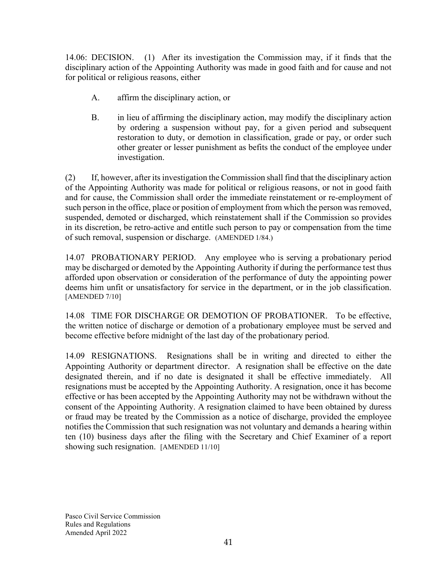14.06: DECISION. (1) After its investigation the Commission may, if it finds that the disciplinary action of the Appointing Authority was made in good faith and for cause and not for political or religious reasons, either

- A. affirm the disciplinary action, or
- B. in lieu of affirming the disciplinary action, may modify the disciplinary action by ordering a suspension without pay, for a given period and subsequent restoration to duty, or demotion in classification, grade or pay, or order such other greater or lesser punishment as befits the conduct of the employee under investigation.

(2) If, however, after its investigation the Commission shall find that the disciplinary action of the Appointing Authority was made for political or religious reasons, or not in good faith and for cause, the Commission shall order the immediate reinstatement or re-employment of such person in the office, place or position of employment from which the person was removed, suspended, demoted or discharged, which reinstatement shall if the Commission so provides in its discretion, be retro-active and entitle such person to pay or compensation from the time of such removal, suspension or discharge. (AMENDED 1/84.)

14.07 PROBATIONARY PERIOD. Any employee who is serving a probationary period may be discharged or demoted by the Appointing Authority if during the performance test thus afforded upon observation or consideration of the performance of duty the appointing power deems him unfit or unsatisfactory for service in the department, or in the job classification. [AMENDED 7/10]

14.08 TIME FOR DISCHARGE OR DEMOTION OF PROBATIONER. To be effective, the written notice of discharge or demotion of a probationary employee must be served and become effective before midnight of the last day of the probationary period.

14.09 RESIGNATIONS. Resignations shall be in writing and directed to either the Appointing Authority or department director. A resignation shall be effective on the date designated therein, and if no date is designated it shall be effective immediately. All resignations must be accepted by the Appointing Authority. A resignation, once it has become effective or has been accepted by the Appointing Authority may not be withdrawn without the consent of the Appointing Authority. A resignation claimed to have been obtained by duress or fraud may be treated by the Commission as a notice of discharge, provided the employee notifies the Commission that such resignation was not voluntary and demands a hearing within ten (10) business days after the filing with the Secretary and Chief Examiner of a report showing such resignation. [AMENDED 11/10]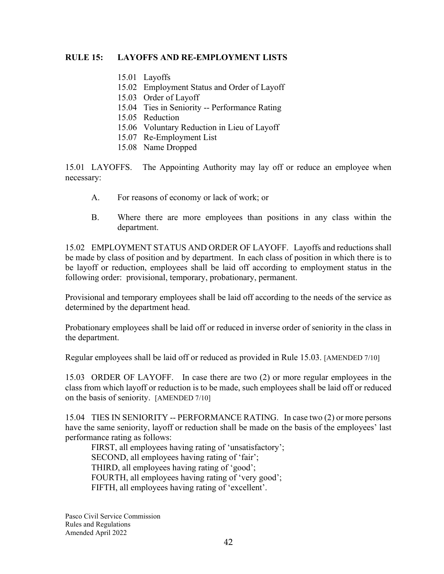#### **RULE 15: LAYOFFS AND RE-EMPLOYMENT LISTS**

- 15.01 Layoffs
- 15.02 Employment Status and Order of Layoff
- 15.03 Order of Layoff
- 15.04 Ties in Seniority -- Performance Rating
- 15.05 Reduction
- 15.06 Voluntary Reduction in Lieu of Layoff
- 15.07 Re-Employment List
- 15.08 Name Dropped

15.01 LAYOFFS. The Appointing Authority may lay off or reduce an employee when necessary:

- A. For reasons of economy or lack of work; or
- B. Where there are more employees than positions in any class within the department.

15.02 EMPLOYMENT STATUS AND ORDER OF LAYOFF. Layoffs and reductions shall be made by class of position and by department. In each class of position in which there is to be layoff or reduction, employees shall be laid off according to employment status in the following order: provisional, temporary, probationary, permanent.

Provisional and temporary employees shall be laid off according to the needs of the service as determined by the department head.

Probationary employees shall be laid off or reduced in inverse order of seniority in the class in the department.

Regular employees shall be laid off or reduced as provided in Rule 15.03. [AMENDED 7/10]

15.03 ORDER OF LAYOFF. In case there are two (2) or more regular employees in the class from which layoff or reduction is to be made, such employees shall be laid off or reduced on the basis of seniority. [AMENDED 7/10]

15.04 TIES IN SENIORITY -- PERFORMANCE RATING. In case two (2) or more persons have the same seniority, layoff or reduction shall be made on the basis of the employees' last performance rating as follows:

FIRST, all employees having rating of 'unsatisfactory'; SECOND, all employees having rating of 'fair'; THIRD, all employees having rating of 'good'; FOURTH, all employees having rating of 'very good'; FIFTH, all employees having rating of 'excellent'.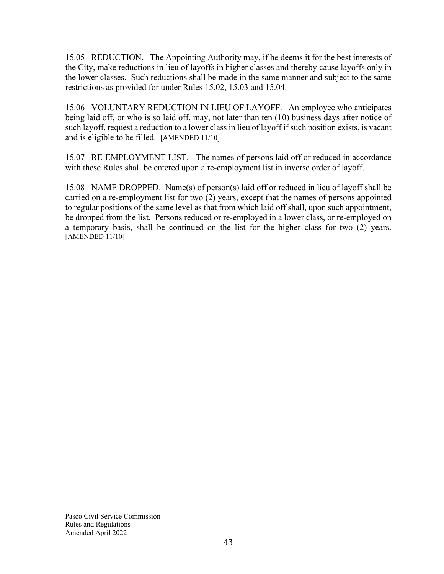15.05 REDUCTION. The Appointing Authority may, if he deems it for the best interests of the City, make reductions in lieu of layoffs in higher classes and thereby cause layoffs only in the lower classes. Such reductions shall be made in the same manner and subject to the same restrictions as provided for under Rules 15.02, 15.03 and 15.04.

15.06 VOLUNTARY REDUCTION IN LIEU OF LAYOFF. An employee who anticipates being laid off, or who is so laid off, may, not later than ten (10) business days after notice of such layoff, request a reduction to a lower class in lieu of layoff if such position exists, is vacant and is eligible to be filled. [AMENDED 11/10]

15.07 RE-EMPLOYMENT LIST. The names of persons laid off or reduced in accordance with these Rules shall be entered upon a re-employment list in inverse order of layoff.

15.08 NAME DROPPED. Name(s) of person(s) laid off or reduced in lieu of layoff shall be carried on a re-employment list for two (2) years, except that the names of persons appointed to regular positions of the same level as that from which laid off shall, upon such appointment, be dropped from the list. Persons reduced or re-employed in a lower class, or re-employed on a temporary basis, shall be continued on the list for the higher class for two (2) years. [AMENDED 11/10]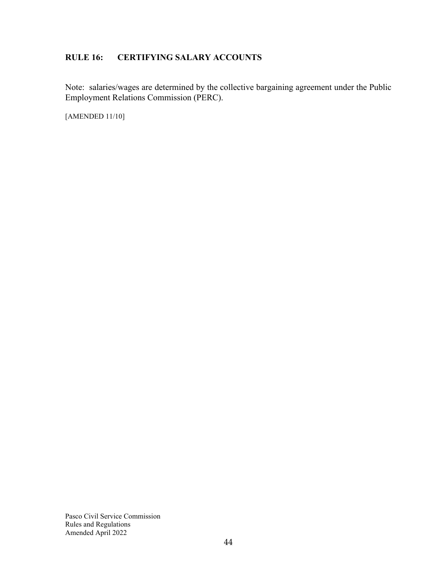## **RULE 16: CERTIFYING SALARY ACCOUNTS**

Note: salaries/wages are determined by the collective bargaining agreement under the Public Employment Relations Commission (PERC).

[AMENDED 11/10]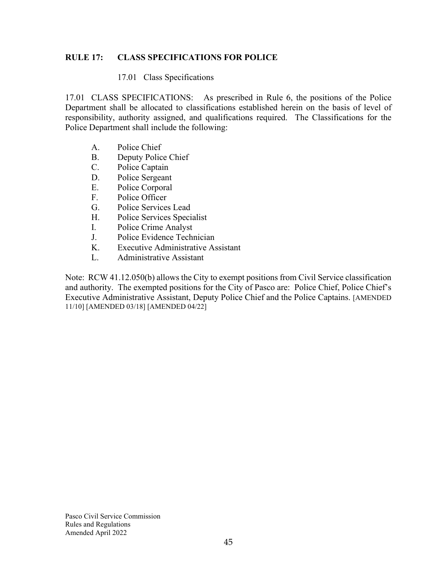#### **RULE 17: CLASS SPECIFICATIONS FOR POLICE**

#### 17.01 Class Specifications

17.01 CLASS SPECIFICATIONS: As prescribed in Rule 6, the positions of the Police Department shall be allocated to classifications established herein on the basis of level of responsibility, authority assigned, and qualifications required. The Classifications for the Police Department shall include the following:

- A. Police Chief
- B. Deputy Police Chief
- C. Police Captain
- D. Police Sergeant
- E. Police Corporal
- F. Police Officer
- G. Police Services Lead
- H. Police Services Specialist
- I. Police Crime Analyst
- J. Police Evidence Technician
- K. Executive Administrative Assistant
- L. Administrative Assistant

Note: RCW 41.12.050(b) allows the City to exempt positions from Civil Service classification and authority. The exempted positions for the City of Pasco are: Police Chief, Police Chief's Executive Administrative Assistant, Deputy Police Chief and the Police Captains. [AMENDED 11/10] [AMENDED 03/18] [AMENDED 04/22]